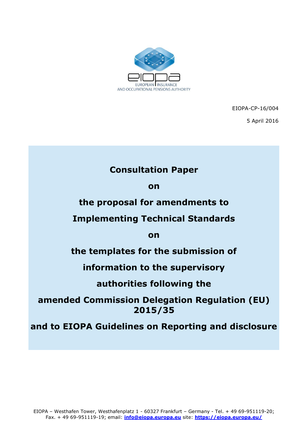

EIOPA-CP-16/004

5 April 2016

# **Consultation Paper**

**on** 

# **the proposal for amendments to**

# **Implementing Technical Standards**

**on**

# **the templates for the submission of**

# **information to the supervisory**

# **authorities following the**

# **amended Commission Delegation Regulation (EU) 2015/35**

# **and to EIOPA Guidelines on Reporting and disclosure**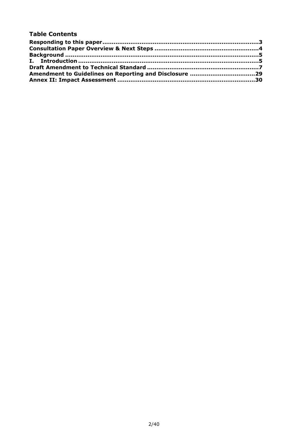#### **Table Contents**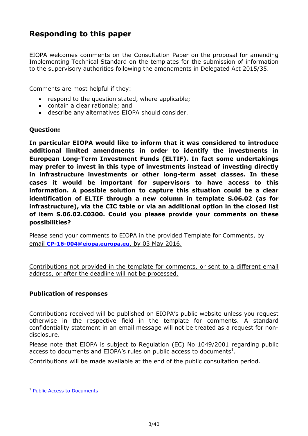# <span id="page-2-0"></span>**Responding to this paper**

EIOPA welcomes comments on the Consultation Paper on the proposal for amending Implementing Technical Standard on the templates for the submission of information to the supervisory authorities following the amendments in Delegated Act 2015/35.

Comments are most helpful if they:

- respond to the question stated, where applicable;
- contain a clear rationale; and
- describe any alternatives EIOPA should consider.

#### **Question:**

**In particular EIOPA would like to inform that it was considered to introduce additional limited amendments in order to identify the investments in European Long-Term Investment Funds (ELTIF). In fact some undertakings may prefer to invest in this type of investments instead of investing directly in infrastructure investments or other long-term asset classes. In these cases it would be important for supervisors to have access to this information. A possible solution to capture this situation could be a clear identification of ELTIF through a new column in template S.06.02 (as for infrastructure), via the CIC table or via an additional option in the closed list of item S.06.02.C0300. Could you please provide your comments on these possibilities?**

Please send your comments to EIOPA in the provided Template for Comments, by email **[CP-16-004@eiopa.europa.eu](mailto:CP-16-004@eiopa.europa.eu)**, by 03 May 2016.

Contributions not provided in the template for comments, or sent to a different email address, or after the deadline will not be processed.

#### **Publication of responses**

Contributions received will be published on EIOPA's public website unless you request otherwise in the respective field in the template for comments. A standard confidentiality statement in an email message will not be treated as a request for nondisclosure.

Please note that EIOPA is subject to Regulation (EC) No 1049/2001 regarding public access to documents and EIOPA's rules on public access to documents<sup>1</sup>.

Contributions will be made available at the end of the public consultation period.

**.** 

<sup>1</sup> [Public Access to Documents](https://eiopa.europa.eu/fileadmin/tx_dam/files/aboutceiops/Public-Access-(EIOPA-MB-11-051).pdf)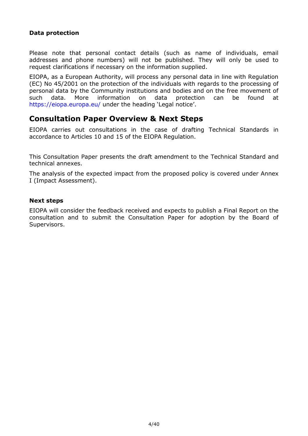### **Data protection**

Please note that personal contact details (such as name of individuals, email addresses and phone numbers) will not be published. They will only be used to request clarifications if necessary on the information supplied.

EIOPA, as a European Authority, will process any personal data in line with Regulation (EC) No 45/2001 on the protection of the individuals with regards to the processing of personal data by the Community institutions and bodies and on the free movement of such data. More information on data protection can be found at <https://eiopa.europa.eu/> under the heading 'Legal notice'.

## <span id="page-3-0"></span>**Consultation Paper Overview & Next Steps**

EIOPA carries out consultations in the case of drafting Technical Standards in accordance to Articles 10 and 15 of the EIOPA Regulation.

This Consultation Paper presents the draft amendment to the Technical Standard and technical annexes.

The analysis of the expected impact from the proposed policy is covered under Annex I (Impact Assessment).

#### **Next steps**

EIOPA will consider the feedback received and expects to publish a Final Report on the consultation and to submit the Consultation Paper for adoption by the Board of Supervisors.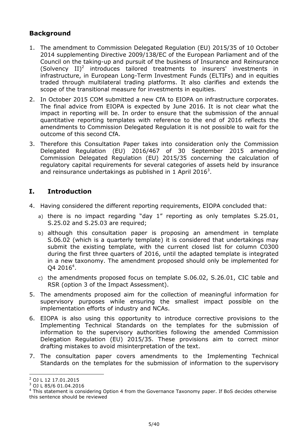## <span id="page-4-0"></span>**Background**

- 1. The amendment to Commission Delegated Regulation (EU) 2015/35 of 10 October 2014 supplementing Directive 2009/138/EC of the European Parliament and of the Council on the taking-up and pursuit of the business of Insurance and Reinsurance (Solvency  $II)^2$  introduces tailored treatments to insurers' investments in infrastructure, in European Long-Term Investment Funds (ELTIFs) and in equities traded through multilateral trading platforms. It also clarifies and extends the scope of the transitional measure for investments in equities.
- 2. In October 2015 COM submitted a new CfA to EIOPA on infrastructure corporates. The final advice from EIOPA is expected by June 2016. It is not clear what the impact in reporting will be. In order to ensure that the submission of the annual quantitative reporting templates with reference to the end of 2016 reflects the amendments to Commission Delegated Regulation it is not possible to wait for the outcome of this second CfA.
- 3. Therefore this Consultation Paper takes into consideration only the Commission Delegated Regulation (EU) 2016/467 of 30 September 2015 amending Commission Delegated Regulation (EU) 2015/35 concerning the calculation of regulatory capital requirements for several categories of assets held by insurance and reinsurance undertakings as published in 1 April 2016<sup>3</sup>.

## <span id="page-4-1"></span>**I. Introduction**

- 4. Having considered the different reporting requirements, EIOPA concluded that:
	- a) there is no impact regarding "day 1" reporting as only templates S.25.01, S.25.02 and S.25.03 are required;
	- b) although this consultation paper is proposing an amendment in template S.06.02 (which is a quarterly template) it is considered that undertakings may submit the existing template, with the current closed list for column C0300 during the first three quarters of 2016, until the adapted template is integrated in a new taxonomy. The amendment proposed should only be implemented for Q4 2016<sup>4</sup>.
	- c) the amendments proposed focus on template S.06.02, S.26.01, CIC table and RSR (option 3 of the Impact Assessment).
- 5. The amendments proposed aim for the collection of meaningful information for supervisory purposes while ensuring the smallest impact possible on the implementation efforts of industry and NCAs.
- 6. EIOPA is also using this opportunity to introduce corrective provisions to the Implementing Technical Standards on the templates for the submission of information to the supervisory authorities following the amended Commission Delegation Regulation (EU) 2015/35. These provisions aim to correct minor drafting mistakes to avoid misinterpretation of the text.
- 7. The consultation paper covers amendments to the Implementing Technical Standards on the templates for the submission of information to the supervisory

**<sup>.</sup>** <sup>2</sup> OJ L 12 17.01.2015

<sup>3</sup> [OJ L 85/6 01.04.2016](http://eur-lex.europa.eu/legal-content/EN/TXT/?uri=uriserv:OJ.L_.2016.085.01.0006.01.ENG&toc=OJ:L:2016:085:TOC)

<sup>&</sup>lt;sup>4</sup> This statement is considering Option 4 from the Governance Taxonomy paper. If BoS decides otherwise this sentence should be reviewed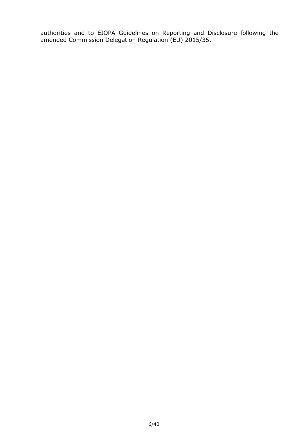authorities and to EIOPA Guidelines on Reporting and Disclosure following the amended Commission Delegation Regulation (EU) 2015/35.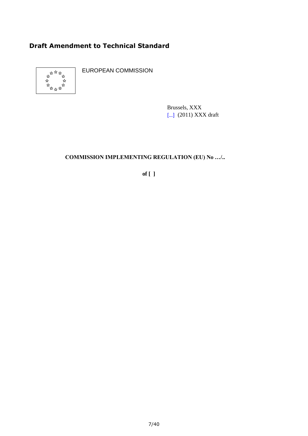# <span id="page-6-0"></span>**Draft Amendment to Technical Standard**



EUROPEAN COMMISSION

Brussels, XXX [...] (2011) XXX draft

# **COMMISSION IMPLEMENTING REGULATION (EU) No …/..**

**of [ ]**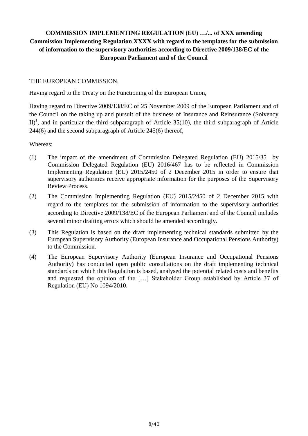## **COMMISSION IMPLEMENTING REGULATION (EU) …/... of XXX amending Commission Implementing Regulation XXXX with regard to the templates for the submission of information to the supervisory authorities according to Directive 2009/138/EC of the European Parliament and of the Council**

#### THE EUROPEAN COMMISSION,

Having regard to the Treaty on the Functioning of the European Union,

Having regard to Directive 2009/138/EC of 25 November 2009 of the European Parliament and of the Council on the taking up and pursuit of the business of Insurance and Reinsurance (Solvency II)<sup>1</sup>, and in particular the third subparagraph of Article 35(10), the third subparagraph of Article 244(6) and the second subparagraph of Article 245(6) thereof,

Whereas:

- (1) The impact of the amendment of Commission Delegated Regulation (EU) 2015/35 by Commission Delegated Regulation (EU) 2016/467 has to be reflected in Commission Implementing Regulation (EU) 2015/2450 of 2 December 2015 in order to ensure that supervisory authorities receive appropriate information for the purposes of the Supervisory Review Process.
- (2) The Commission Implementing Regulation (EU) 2015/2450 of 2 December 2015 with regard to the templates for the submission of information to the supervisory authorities according to Directive 2009/138/EC of the European Parliament and of the Council includes several minor drafting errors which should be amended accordingly.
- (3) This Regulation is based on the draft implementing technical standards submitted by the European Supervisory Authority (European Insurance and Occupational Pensions Authority) to the Commission.
- (4) The European Supervisory Authority (European Insurance and Occupational Pensions Authority) has conducted open public consultations on the draft implementing technical standards on which this Regulation is based, analysed the potential related costs and benefits and requested the opinion of the […] Stakeholder Group established by Article 37 of Regulation (EU) No 1094/2010.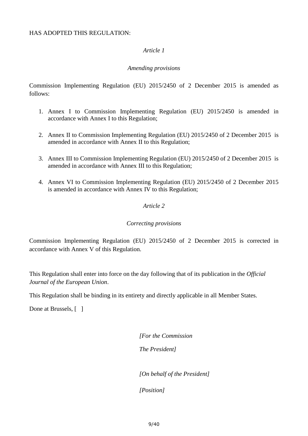#### HAS ADOPTED THIS REGULATION:

#### *Article 1*

#### *Amending provisions*

Commission Implementing Regulation (EU) 2015/2450 of 2 December 2015 is amended as follows:

- 1. Annex I to Commission Implementing Regulation (EU) 2015/2450 is amended in accordance with Annex I to this Regulation;
- 2. Annex II to Commission Implementing Regulation (EU) 2015/2450 of 2 December 2015 is amended in accordance with Annex II to this Regulation;
- 3. Annex III to Commission Implementing Regulation (EU) 2015/2450 of 2 December 2015 is amended in accordance with Annex III to this Regulation;
- 4. Annex VI to Commission Implementing Regulation (EU) 2015/2450 of 2 December 2015 is amended in accordance with Annex IV to this Regulation;

#### *Article 2*

#### *Correcting provisions*

Commission Implementing Regulation (EU) 2015/2450 of 2 December 2015 is corrected in accordance with Annex V of this Regulation.

This Regulation shall enter into force on the day following that of its publication in the *Official Journal of the European Union*.

This Regulation shall be binding in its entirety and directly applicable in all Member States.

Done at Brussels, [ ]

*[For the Commission*

*The President]*

*[On behalf of the President]*

*[Position]*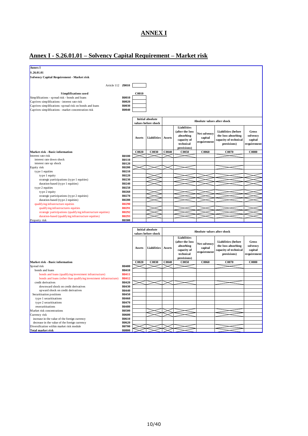# **ANNEX I**

# **Annex I - S.26.01.01 – Solvency Capital Requirement – Market risk**

| <b>Annex I</b>                                                        |                |              |                         |        |                 |                             |                            |              |
|-----------------------------------------------------------------------|----------------|--------------|-------------------------|--------|-----------------|-----------------------------|----------------------------|--------------|
| S.26.01.01                                                            |                |              |                         |        |                 |                             |                            |              |
| <b>Solvency Capital Requirement - Market risk</b>                     |                |              |                         |        |                 |                             |                            |              |
|                                                                       |                |              |                         |        |                 |                             |                            |              |
| Article 112 Z0010                                                     |                |              |                         |        |                 |                             |                            |              |
|                                                                       |                |              |                         |        |                 |                             |                            |              |
| <b>Simplifications used</b>                                           |                | <b>C0010</b> |                         |        |                 |                             |                            |              |
| Simplifications - spread risk - bonds and loans                       | R0010          |              |                         |        |                 |                             |                            |              |
| Captives simplifications - interest rate risk                         | <b>R0020</b>   |              |                         |        |                 |                             |                            |              |
| Captives simplifications -spread risk on bonds and loans              | R0030          |              |                         |        |                 |                             |                            |              |
| Captives simplifications - market concentration risk                  | <b>R0040</b>   |              |                         |        |                 |                             |                            |              |
|                                                                       |                |              |                         |        |                 |                             |                            |              |
|                                                                       |                |              | <b>Initial absolute</b> |        |                 | Absolute values after shock |                            |              |
|                                                                       |                |              | values before shock     |        |                 |                             |                            |              |
|                                                                       |                |              |                         |        | Liabilities     |                             |                            |              |
|                                                                       |                |              |                         |        | (after the loss | Net solvency                | <b>Liabilities</b> (before | <b>Gross</b> |
|                                                                       |                | Assets       | <b>Liabilities</b>      | Assets | absorbing       | capital                     | the loss-absorbing         | solvency     |
|                                                                       |                |              |                         |        | capacity of     | requirement                 | capacity of technical      | capital      |
|                                                                       |                |              |                         |        | technical       |                             | provisions)                | requirement  |
|                                                                       |                |              |                         |        | provisions)     |                             |                            |              |
| Market risk - Basic information                                       |                | C0020        | C0030                   | C0040  | C0050           | C0060                       | C0070                      | $\bf{C}0080$ |
| Interest rate risk                                                    | <b>R0100</b>   |              |                         |        |                 |                             |                            |              |
| interest rate down shock<br>interest rate up shock                    | R0110<br>R0120 |              |                         |        |                 |                             |                            |              |
| Equity risk                                                           | <b>R0200</b>   |              |                         |        |                 |                             |                            |              |
| type 1 equities                                                       | R0210          |              |                         |        |                 |                             |                            |              |
| type 1 equity                                                         | R0220          |              |                         |        |                 |                             |                            |              |
| strategic participations (type 1 equities)                            | R0230          |              |                         |        |                 |                             |                            |              |
| duration-based (type 1 equities)                                      | R0240          |              |                         |        |                 |                             |                            |              |
| type 2 equities                                                       | R0250          |              |                         |        |                 |                             |                            |              |
| type 2 equity                                                         | R0260          |              |                         |        |                 |                             |                            |              |
| strategic participations (type 2 equities)                            | R0270          |              |                         |        |                 |                             |                            |              |
| duration-based (type 2 equities)                                      | <b>R0280</b>   |              |                         |        |                 |                             |                            |              |
| qualifying infrastructure equities                                    | <b>R0290</b>   |              |                         |        |                 |                             |                            |              |
| qualifying infrastructures equities                                   | R0291          |              |                         |        |                 |                             |                            |              |
| strategic participations (qualifying infrastructure equities)         | R0292          |              |                         |        |                 |                             |                            |              |
| duration-based (qualifying infrastructure equities)                   | R0293          |              |                         |        |                 |                             |                            |              |
| Property risk                                                         | <b>R0300</b>   |              |                         |        |                 |                             |                            |              |
|                                                                       |                |              |                         |        |                 |                             |                            |              |
|                                                                       |                |              | <b>Initial absolute</b> |        |                 | Absolute values after shock |                            |              |
|                                                                       |                |              | values before shock     |        |                 |                             |                            |              |
|                                                                       |                |              |                         |        | Liabilities     |                             |                            |              |
|                                                                       |                |              |                         |        | (after the loss | Net solvency                | <b>Liabilities</b> (before | <b>Gross</b> |
|                                                                       |                | Assets       | Liabilities             | Assets | absorbing       | capital                     | the loss-absorbing         | solvency     |
|                                                                       |                |              |                         |        | capacity of     | requirement                 | capacity of technical      | capital      |
|                                                                       |                |              |                         |        | technical       |                             | provisions)                | requirement  |
|                                                                       |                |              |                         |        | provisions)     |                             |                            |              |
| Market risk - Basic information<br>Spread risk                        | R0400          | C0020        | C0030                   | C0040  | C0050           | C0060                       | C0070                      | <b>C0080</b> |
| bonds and loans                                                       | R0410          |              |                         |        |                 |                             |                            |              |
| bonds and loans (qualifying investment infrastructure)                | R0411          |              |                         |        |                 |                             |                            |              |
| bonds and loans (other than qualifying investment infrastructure)     | R0412          |              |                         |        |                 |                             |                            |              |
| credit derivatives                                                    | R0420          |              |                         |        |                 |                             |                            |              |
| downward shock on credit derivatives                                  | R0430          |              |                         |        |                 |                             |                            |              |
| up ward shock on credit derivatives                                   | R0440          |              |                         |        |                 |                             |                            |              |
| Securitisation positions                                              | R0450          |              |                         |        |                 |                             |                            |              |
| type 1 securitisations                                                | R0460          |              |                         |        |                 |                             |                            |              |
| type 2 securitisations                                                | R0470          |              |                         |        |                 |                             |                            |              |
| resecuritisations                                                     | R0480          |              |                         |        |                 |                             |                            |              |
| Market risk concentrations                                            | <b>R0500</b>   |              |                         |        |                 |                             |                            |              |
| Currency risk                                                         | R0600          |              |                         |        |                 |                             |                            |              |
| increase in the value of the foreign currency                         | R0610          |              |                         |        |                 |                             |                            |              |
| decrease in the value of the foreign currency                         | R0620<br>R0700 |              |                         |        |                 |                             |                            |              |
| Diversification within market risk module<br><b>Total market risk</b> | <b>R0800</b>   |              |                         |        |                 |                             |                            |              |
|                                                                       |                |              |                         |        |                 |                             |                            |              |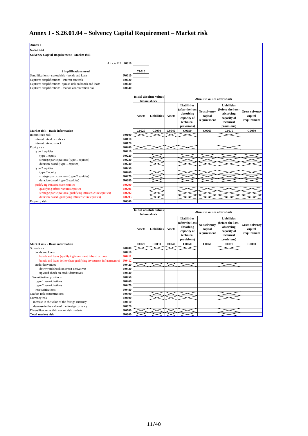# **Annex I - S.26.01.04 – Solvency Capital Requirement – Market risk**

| S.26.01.04<br>Solvency Capital Requirement - Market risk<br>Article 112 <b>Z0010</b><br><b>Simplifications used</b><br><b>C0010</b><br><b>R0010</b><br>Simplifications - spread risk - bonds and loans<br><b>R0020</b><br>Captives simplifications - interest rate risk<br>R0030<br>Captives simplifications -spread risk on bonds and loans<br><b>R0040</b><br>Captives simplifications - market concentration risk<br>Initial absolute values<br>Absolute values after shock<br>before shock<br><b>Liabilities</b><br>Liabilities<br>after the loss<br>before the loss-<br>Net solvency<br><b>Gross solvency</b><br>absorbing<br>absorbing<br>Liabilities<br>Assets<br>capital<br>capital<br>Assets<br>capacity of<br>capacity of<br>requirement<br>requirement<br>technical<br>technical<br>provisions)<br>provisions)<br>C0020<br>C0040<br>C0050<br>C0060<br>C0070<br><b>C0080</b><br>Market risk - Basic information<br>C0030<br><b>R0100</b><br>Interest rate risk<br><b>R0110</b><br>interest rate down shock<br>interest rate up shock<br>R0120<br><b>R0200</b><br>Equity risk<br>R0210<br>type 1 equities<br>R0220<br>type 1 equity<br>R0230<br>strategic participations (type 1 equities)<br>R0240<br>duration-based (type 1 equities)<br>R0250<br>type 2 equities<br>R0260<br>type 2 equity<br>R0270<br>strategic participations (type 2 equities)<br><b>R0280</b><br>duration-based (type 2 equities)<br><b>R0290</b><br>qualifying infrastructure equities<br>R0291<br>qualifying infrastructures equities<br>R0292<br>strategic participations (qualifying infrastructure equities)<br>R0293<br>duration-based (qualifying infrastructure equities)<br><b>R0300</b><br>Property risk<br>Initial absolute values<br>Absolute values after shock<br>before shock<br>Liabilities<br>Liabilities<br>(after the loss<br>(before the loss-<br>Net solvency<br><b>Gross solvency</b><br>absorbing<br>absorbing<br>Liabilities<br>Assets<br>capital<br>capital<br>Assets<br>capacity of<br>capacity of<br>requirement<br>requirement<br>technical<br>technical<br>provisions)<br>provisions)<br>C <sub>0030</sub><br>C0040<br>C0020<br>C0050<br>C0060<br>C0070<br><b>C0080</b><br>Market risk - Basic information<br><b>R0400</b><br>Spread risk<br>R0410<br>bonds and loans<br>bonds and loans (qualifying investment infrastructure)<br>R0411<br>R0412<br>bonds and loans (other than qualifying investment infrastructure)<br>R0420<br>credit derivatives<br>R0430<br>downward shock on credit derivatives<br>R0440<br>upward shock on credit derivatives | Annex I                  |       |  |  |  |  |
|--------------------------------------------------------------------------------------------------------------------------------------------------------------------------------------------------------------------------------------------------------------------------------------------------------------------------------------------------------------------------------------------------------------------------------------------------------------------------------------------------------------------------------------------------------------------------------------------------------------------------------------------------------------------------------------------------------------------------------------------------------------------------------------------------------------------------------------------------------------------------------------------------------------------------------------------------------------------------------------------------------------------------------------------------------------------------------------------------------------------------------------------------------------------------------------------------------------------------------------------------------------------------------------------------------------------------------------------------------------------------------------------------------------------------------------------------------------------------------------------------------------------------------------------------------------------------------------------------------------------------------------------------------------------------------------------------------------------------------------------------------------------------------------------------------------------------------------------------------------------------------------------------------------------------------------------------------------------------------------------------------------------------------------------------------------------------------------------------------------------------------------------------------------------------------------------------------------------------------------------------------------------------------------------------------------------------------------------------------------------------------------------------------------------------------------------------------------------------------------------------------------------------------------------------------------------|--------------------------|-------|--|--|--|--|
|                                                                                                                                                                                                                                                                                                                                                                                                                                                                                                                                                                                                                                                                                                                                                                                                                                                                                                                                                                                                                                                                                                                                                                                                                                                                                                                                                                                                                                                                                                                                                                                                                                                                                                                                                                                                                                                                                                                                                                                                                                                                                                                                                                                                                                                                                                                                                                                                                                                                                                                                                                    |                          |       |  |  |  |  |
|                                                                                                                                                                                                                                                                                                                                                                                                                                                                                                                                                                                                                                                                                                                                                                                                                                                                                                                                                                                                                                                                                                                                                                                                                                                                                                                                                                                                                                                                                                                                                                                                                                                                                                                                                                                                                                                                                                                                                                                                                                                                                                                                                                                                                                                                                                                                                                                                                                                                                                                                                                    |                          |       |  |  |  |  |
|                                                                                                                                                                                                                                                                                                                                                                                                                                                                                                                                                                                                                                                                                                                                                                                                                                                                                                                                                                                                                                                                                                                                                                                                                                                                                                                                                                                                                                                                                                                                                                                                                                                                                                                                                                                                                                                                                                                                                                                                                                                                                                                                                                                                                                                                                                                                                                                                                                                                                                                                                                    |                          |       |  |  |  |  |
|                                                                                                                                                                                                                                                                                                                                                                                                                                                                                                                                                                                                                                                                                                                                                                                                                                                                                                                                                                                                                                                                                                                                                                                                                                                                                                                                                                                                                                                                                                                                                                                                                                                                                                                                                                                                                                                                                                                                                                                                                                                                                                                                                                                                                                                                                                                                                                                                                                                                                                                                                                    |                          |       |  |  |  |  |
|                                                                                                                                                                                                                                                                                                                                                                                                                                                                                                                                                                                                                                                                                                                                                                                                                                                                                                                                                                                                                                                                                                                                                                                                                                                                                                                                                                                                                                                                                                                                                                                                                                                                                                                                                                                                                                                                                                                                                                                                                                                                                                                                                                                                                                                                                                                                                                                                                                                                                                                                                                    |                          |       |  |  |  |  |
|                                                                                                                                                                                                                                                                                                                                                                                                                                                                                                                                                                                                                                                                                                                                                                                                                                                                                                                                                                                                                                                                                                                                                                                                                                                                                                                                                                                                                                                                                                                                                                                                                                                                                                                                                                                                                                                                                                                                                                                                                                                                                                                                                                                                                                                                                                                                                                                                                                                                                                                                                                    |                          |       |  |  |  |  |
|                                                                                                                                                                                                                                                                                                                                                                                                                                                                                                                                                                                                                                                                                                                                                                                                                                                                                                                                                                                                                                                                                                                                                                                                                                                                                                                                                                                                                                                                                                                                                                                                                                                                                                                                                                                                                                                                                                                                                                                                                                                                                                                                                                                                                                                                                                                                                                                                                                                                                                                                                                    |                          |       |  |  |  |  |
|                                                                                                                                                                                                                                                                                                                                                                                                                                                                                                                                                                                                                                                                                                                                                                                                                                                                                                                                                                                                                                                                                                                                                                                                                                                                                                                                                                                                                                                                                                                                                                                                                                                                                                                                                                                                                                                                                                                                                                                                                                                                                                                                                                                                                                                                                                                                                                                                                                                                                                                                                                    |                          |       |  |  |  |  |
|                                                                                                                                                                                                                                                                                                                                                                                                                                                                                                                                                                                                                                                                                                                                                                                                                                                                                                                                                                                                                                                                                                                                                                                                                                                                                                                                                                                                                                                                                                                                                                                                                                                                                                                                                                                                                                                                                                                                                                                                                                                                                                                                                                                                                                                                                                                                                                                                                                                                                                                                                                    |                          |       |  |  |  |  |
|                                                                                                                                                                                                                                                                                                                                                                                                                                                                                                                                                                                                                                                                                                                                                                                                                                                                                                                                                                                                                                                                                                                                                                                                                                                                                                                                                                                                                                                                                                                                                                                                                                                                                                                                                                                                                                                                                                                                                                                                                                                                                                                                                                                                                                                                                                                                                                                                                                                                                                                                                                    |                          |       |  |  |  |  |
|                                                                                                                                                                                                                                                                                                                                                                                                                                                                                                                                                                                                                                                                                                                                                                                                                                                                                                                                                                                                                                                                                                                                                                                                                                                                                                                                                                                                                                                                                                                                                                                                                                                                                                                                                                                                                                                                                                                                                                                                                                                                                                                                                                                                                                                                                                                                                                                                                                                                                                                                                                    |                          |       |  |  |  |  |
|                                                                                                                                                                                                                                                                                                                                                                                                                                                                                                                                                                                                                                                                                                                                                                                                                                                                                                                                                                                                                                                                                                                                                                                                                                                                                                                                                                                                                                                                                                                                                                                                                                                                                                                                                                                                                                                                                                                                                                                                                                                                                                                                                                                                                                                                                                                                                                                                                                                                                                                                                                    |                          |       |  |  |  |  |
|                                                                                                                                                                                                                                                                                                                                                                                                                                                                                                                                                                                                                                                                                                                                                                                                                                                                                                                                                                                                                                                                                                                                                                                                                                                                                                                                                                                                                                                                                                                                                                                                                                                                                                                                                                                                                                                                                                                                                                                                                                                                                                                                                                                                                                                                                                                                                                                                                                                                                                                                                                    |                          |       |  |  |  |  |
|                                                                                                                                                                                                                                                                                                                                                                                                                                                                                                                                                                                                                                                                                                                                                                                                                                                                                                                                                                                                                                                                                                                                                                                                                                                                                                                                                                                                                                                                                                                                                                                                                                                                                                                                                                                                                                                                                                                                                                                                                                                                                                                                                                                                                                                                                                                                                                                                                                                                                                                                                                    |                          |       |  |  |  |  |
|                                                                                                                                                                                                                                                                                                                                                                                                                                                                                                                                                                                                                                                                                                                                                                                                                                                                                                                                                                                                                                                                                                                                                                                                                                                                                                                                                                                                                                                                                                                                                                                                                                                                                                                                                                                                                                                                                                                                                                                                                                                                                                                                                                                                                                                                                                                                                                                                                                                                                                                                                                    |                          |       |  |  |  |  |
|                                                                                                                                                                                                                                                                                                                                                                                                                                                                                                                                                                                                                                                                                                                                                                                                                                                                                                                                                                                                                                                                                                                                                                                                                                                                                                                                                                                                                                                                                                                                                                                                                                                                                                                                                                                                                                                                                                                                                                                                                                                                                                                                                                                                                                                                                                                                                                                                                                                                                                                                                                    |                          |       |  |  |  |  |
|                                                                                                                                                                                                                                                                                                                                                                                                                                                                                                                                                                                                                                                                                                                                                                                                                                                                                                                                                                                                                                                                                                                                                                                                                                                                                                                                                                                                                                                                                                                                                                                                                                                                                                                                                                                                                                                                                                                                                                                                                                                                                                                                                                                                                                                                                                                                                                                                                                                                                                                                                                    |                          |       |  |  |  |  |
|                                                                                                                                                                                                                                                                                                                                                                                                                                                                                                                                                                                                                                                                                                                                                                                                                                                                                                                                                                                                                                                                                                                                                                                                                                                                                                                                                                                                                                                                                                                                                                                                                                                                                                                                                                                                                                                                                                                                                                                                                                                                                                                                                                                                                                                                                                                                                                                                                                                                                                                                                                    |                          |       |  |  |  |  |
|                                                                                                                                                                                                                                                                                                                                                                                                                                                                                                                                                                                                                                                                                                                                                                                                                                                                                                                                                                                                                                                                                                                                                                                                                                                                                                                                                                                                                                                                                                                                                                                                                                                                                                                                                                                                                                                                                                                                                                                                                                                                                                                                                                                                                                                                                                                                                                                                                                                                                                                                                                    |                          |       |  |  |  |  |
|                                                                                                                                                                                                                                                                                                                                                                                                                                                                                                                                                                                                                                                                                                                                                                                                                                                                                                                                                                                                                                                                                                                                                                                                                                                                                                                                                                                                                                                                                                                                                                                                                                                                                                                                                                                                                                                                                                                                                                                                                                                                                                                                                                                                                                                                                                                                                                                                                                                                                                                                                                    |                          |       |  |  |  |  |
|                                                                                                                                                                                                                                                                                                                                                                                                                                                                                                                                                                                                                                                                                                                                                                                                                                                                                                                                                                                                                                                                                                                                                                                                                                                                                                                                                                                                                                                                                                                                                                                                                                                                                                                                                                                                                                                                                                                                                                                                                                                                                                                                                                                                                                                                                                                                                                                                                                                                                                                                                                    |                          |       |  |  |  |  |
|                                                                                                                                                                                                                                                                                                                                                                                                                                                                                                                                                                                                                                                                                                                                                                                                                                                                                                                                                                                                                                                                                                                                                                                                                                                                                                                                                                                                                                                                                                                                                                                                                                                                                                                                                                                                                                                                                                                                                                                                                                                                                                                                                                                                                                                                                                                                                                                                                                                                                                                                                                    |                          |       |  |  |  |  |
|                                                                                                                                                                                                                                                                                                                                                                                                                                                                                                                                                                                                                                                                                                                                                                                                                                                                                                                                                                                                                                                                                                                                                                                                                                                                                                                                                                                                                                                                                                                                                                                                                                                                                                                                                                                                                                                                                                                                                                                                                                                                                                                                                                                                                                                                                                                                                                                                                                                                                                                                                                    |                          |       |  |  |  |  |
|                                                                                                                                                                                                                                                                                                                                                                                                                                                                                                                                                                                                                                                                                                                                                                                                                                                                                                                                                                                                                                                                                                                                                                                                                                                                                                                                                                                                                                                                                                                                                                                                                                                                                                                                                                                                                                                                                                                                                                                                                                                                                                                                                                                                                                                                                                                                                                                                                                                                                                                                                                    |                          |       |  |  |  |  |
|                                                                                                                                                                                                                                                                                                                                                                                                                                                                                                                                                                                                                                                                                                                                                                                                                                                                                                                                                                                                                                                                                                                                                                                                                                                                                                                                                                                                                                                                                                                                                                                                                                                                                                                                                                                                                                                                                                                                                                                                                                                                                                                                                                                                                                                                                                                                                                                                                                                                                                                                                                    |                          |       |  |  |  |  |
|                                                                                                                                                                                                                                                                                                                                                                                                                                                                                                                                                                                                                                                                                                                                                                                                                                                                                                                                                                                                                                                                                                                                                                                                                                                                                                                                                                                                                                                                                                                                                                                                                                                                                                                                                                                                                                                                                                                                                                                                                                                                                                                                                                                                                                                                                                                                                                                                                                                                                                                                                                    |                          |       |  |  |  |  |
|                                                                                                                                                                                                                                                                                                                                                                                                                                                                                                                                                                                                                                                                                                                                                                                                                                                                                                                                                                                                                                                                                                                                                                                                                                                                                                                                                                                                                                                                                                                                                                                                                                                                                                                                                                                                                                                                                                                                                                                                                                                                                                                                                                                                                                                                                                                                                                                                                                                                                                                                                                    |                          |       |  |  |  |  |
|                                                                                                                                                                                                                                                                                                                                                                                                                                                                                                                                                                                                                                                                                                                                                                                                                                                                                                                                                                                                                                                                                                                                                                                                                                                                                                                                                                                                                                                                                                                                                                                                                                                                                                                                                                                                                                                                                                                                                                                                                                                                                                                                                                                                                                                                                                                                                                                                                                                                                                                                                                    |                          |       |  |  |  |  |
|                                                                                                                                                                                                                                                                                                                                                                                                                                                                                                                                                                                                                                                                                                                                                                                                                                                                                                                                                                                                                                                                                                                                                                                                                                                                                                                                                                                                                                                                                                                                                                                                                                                                                                                                                                                                                                                                                                                                                                                                                                                                                                                                                                                                                                                                                                                                                                                                                                                                                                                                                                    |                          |       |  |  |  |  |
|                                                                                                                                                                                                                                                                                                                                                                                                                                                                                                                                                                                                                                                                                                                                                                                                                                                                                                                                                                                                                                                                                                                                                                                                                                                                                                                                                                                                                                                                                                                                                                                                                                                                                                                                                                                                                                                                                                                                                                                                                                                                                                                                                                                                                                                                                                                                                                                                                                                                                                                                                                    |                          |       |  |  |  |  |
|                                                                                                                                                                                                                                                                                                                                                                                                                                                                                                                                                                                                                                                                                                                                                                                                                                                                                                                                                                                                                                                                                                                                                                                                                                                                                                                                                                                                                                                                                                                                                                                                                                                                                                                                                                                                                                                                                                                                                                                                                                                                                                                                                                                                                                                                                                                                                                                                                                                                                                                                                                    |                          |       |  |  |  |  |
|                                                                                                                                                                                                                                                                                                                                                                                                                                                                                                                                                                                                                                                                                                                                                                                                                                                                                                                                                                                                                                                                                                                                                                                                                                                                                                                                                                                                                                                                                                                                                                                                                                                                                                                                                                                                                                                                                                                                                                                                                                                                                                                                                                                                                                                                                                                                                                                                                                                                                                                                                                    |                          |       |  |  |  |  |
|                                                                                                                                                                                                                                                                                                                                                                                                                                                                                                                                                                                                                                                                                                                                                                                                                                                                                                                                                                                                                                                                                                                                                                                                                                                                                                                                                                                                                                                                                                                                                                                                                                                                                                                                                                                                                                                                                                                                                                                                                                                                                                                                                                                                                                                                                                                                                                                                                                                                                                                                                                    |                          |       |  |  |  |  |
|                                                                                                                                                                                                                                                                                                                                                                                                                                                                                                                                                                                                                                                                                                                                                                                                                                                                                                                                                                                                                                                                                                                                                                                                                                                                                                                                                                                                                                                                                                                                                                                                                                                                                                                                                                                                                                                                                                                                                                                                                                                                                                                                                                                                                                                                                                                                                                                                                                                                                                                                                                    |                          |       |  |  |  |  |
|                                                                                                                                                                                                                                                                                                                                                                                                                                                                                                                                                                                                                                                                                                                                                                                                                                                                                                                                                                                                                                                                                                                                                                                                                                                                                                                                                                                                                                                                                                                                                                                                                                                                                                                                                                                                                                                                                                                                                                                                                                                                                                                                                                                                                                                                                                                                                                                                                                                                                                                                                                    |                          |       |  |  |  |  |
|                                                                                                                                                                                                                                                                                                                                                                                                                                                                                                                                                                                                                                                                                                                                                                                                                                                                                                                                                                                                                                                                                                                                                                                                                                                                                                                                                                                                                                                                                                                                                                                                                                                                                                                                                                                                                                                                                                                                                                                                                                                                                                                                                                                                                                                                                                                                                                                                                                                                                                                                                                    |                          |       |  |  |  |  |
|                                                                                                                                                                                                                                                                                                                                                                                                                                                                                                                                                                                                                                                                                                                                                                                                                                                                                                                                                                                                                                                                                                                                                                                                                                                                                                                                                                                                                                                                                                                                                                                                                                                                                                                                                                                                                                                                                                                                                                                                                                                                                                                                                                                                                                                                                                                                                                                                                                                                                                                                                                    |                          |       |  |  |  |  |
|                                                                                                                                                                                                                                                                                                                                                                                                                                                                                                                                                                                                                                                                                                                                                                                                                                                                                                                                                                                                                                                                                                                                                                                                                                                                                                                                                                                                                                                                                                                                                                                                                                                                                                                                                                                                                                                                                                                                                                                                                                                                                                                                                                                                                                                                                                                                                                                                                                                                                                                                                                    |                          |       |  |  |  |  |
|                                                                                                                                                                                                                                                                                                                                                                                                                                                                                                                                                                                                                                                                                                                                                                                                                                                                                                                                                                                                                                                                                                                                                                                                                                                                                                                                                                                                                                                                                                                                                                                                                                                                                                                                                                                                                                                                                                                                                                                                                                                                                                                                                                                                                                                                                                                                                                                                                                                                                                                                                                    |                          |       |  |  |  |  |
|                                                                                                                                                                                                                                                                                                                                                                                                                                                                                                                                                                                                                                                                                                                                                                                                                                                                                                                                                                                                                                                                                                                                                                                                                                                                                                                                                                                                                                                                                                                                                                                                                                                                                                                                                                                                                                                                                                                                                                                                                                                                                                                                                                                                                                                                                                                                                                                                                                                                                                                                                                    |                          |       |  |  |  |  |
|                                                                                                                                                                                                                                                                                                                                                                                                                                                                                                                                                                                                                                                                                                                                                                                                                                                                                                                                                                                                                                                                                                                                                                                                                                                                                                                                                                                                                                                                                                                                                                                                                                                                                                                                                                                                                                                                                                                                                                                                                                                                                                                                                                                                                                                                                                                                                                                                                                                                                                                                                                    |                          |       |  |  |  |  |
|                                                                                                                                                                                                                                                                                                                                                                                                                                                                                                                                                                                                                                                                                                                                                                                                                                                                                                                                                                                                                                                                                                                                                                                                                                                                                                                                                                                                                                                                                                                                                                                                                                                                                                                                                                                                                                                                                                                                                                                                                                                                                                                                                                                                                                                                                                                                                                                                                                                                                                                                                                    |                          |       |  |  |  |  |
|                                                                                                                                                                                                                                                                                                                                                                                                                                                                                                                                                                                                                                                                                                                                                                                                                                                                                                                                                                                                                                                                                                                                                                                                                                                                                                                                                                                                                                                                                                                                                                                                                                                                                                                                                                                                                                                                                                                                                                                                                                                                                                                                                                                                                                                                                                                                                                                                                                                                                                                                                                    |                          |       |  |  |  |  |
|                                                                                                                                                                                                                                                                                                                                                                                                                                                                                                                                                                                                                                                                                                                                                                                                                                                                                                                                                                                                                                                                                                                                                                                                                                                                                                                                                                                                                                                                                                                                                                                                                                                                                                                                                                                                                                                                                                                                                                                                                                                                                                                                                                                                                                                                                                                                                                                                                                                                                                                                                                    |                          |       |  |  |  |  |
|                                                                                                                                                                                                                                                                                                                                                                                                                                                                                                                                                                                                                                                                                                                                                                                                                                                                                                                                                                                                                                                                                                                                                                                                                                                                                                                                                                                                                                                                                                                                                                                                                                                                                                                                                                                                                                                                                                                                                                                                                                                                                                                                                                                                                                                                                                                                                                                                                                                                                                                                                                    |                          |       |  |  |  |  |
|                                                                                                                                                                                                                                                                                                                                                                                                                                                                                                                                                                                                                                                                                                                                                                                                                                                                                                                                                                                                                                                                                                                                                                                                                                                                                                                                                                                                                                                                                                                                                                                                                                                                                                                                                                                                                                                                                                                                                                                                                                                                                                                                                                                                                                                                                                                                                                                                                                                                                                                                                                    |                          |       |  |  |  |  |
|                                                                                                                                                                                                                                                                                                                                                                                                                                                                                                                                                                                                                                                                                                                                                                                                                                                                                                                                                                                                                                                                                                                                                                                                                                                                                                                                                                                                                                                                                                                                                                                                                                                                                                                                                                                                                                                                                                                                                                                                                                                                                                                                                                                                                                                                                                                                                                                                                                                                                                                                                                    |                          |       |  |  |  |  |
|                                                                                                                                                                                                                                                                                                                                                                                                                                                                                                                                                                                                                                                                                                                                                                                                                                                                                                                                                                                                                                                                                                                                                                                                                                                                                                                                                                                                                                                                                                                                                                                                                                                                                                                                                                                                                                                                                                                                                                                                                                                                                                                                                                                                                                                                                                                                                                                                                                                                                                                                                                    |                          |       |  |  |  |  |
|                                                                                                                                                                                                                                                                                                                                                                                                                                                                                                                                                                                                                                                                                                                                                                                                                                                                                                                                                                                                                                                                                                                                                                                                                                                                                                                                                                                                                                                                                                                                                                                                                                                                                                                                                                                                                                                                                                                                                                                                                                                                                                                                                                                                                                                                                                                                                                                                                                                                                                                                                                    |                          |       |  |  |  |  |
|                                                                                                                                                                                                                                                                                                                                                                                                                                                                                                                                                                                                                                                                                                                                                                                                                                                                                                                                                                                                                                                                                                                                                                                                                                                                                                                                                                                                                                                                                                                                                                                                                                                                                                                                                                                                                                                                                                                                                                                                                                                                                                                                                                                                                                                                                                                                                                                                                                                                                                                                                                    |                          |       |  |  |  |  |
|                                                                                                                                                                                                                                                                                                                                                                                                                                                                                                                                                                                                                                                                                                                                                                                                                                                                                                                                                                                                                                                                                                                                                                                                                                                                                                                                                                                                                                                                                                                                                                                                                                                                                                                                                                                                                                                                                                                                                                                                                                                                                                                                                                                                                                                                                                                                                                                                                                                                                                                                                                    |                          |       |  |  |  |  |
|                                                                                                                                                                                                                                                                                                                                                                                                                                                                                                                                                                                                                                                                                                                                                                                                                                                                                                                                                                                                                                                                                                                                                                                                                                                                                                                                                                                                                                                                                                                                                                                                                                                                                                                                                                                                                                                                                                                                                                                                                                                                                                                                                                                                                                                                                                                                                                                                                                                                                                                                                                    |                          |       |  |  |  |  |
|                                                                                                                                                                                                                                                                                                                                                                                                                                                                                                                                                                                                                                                                                                                                                                                                                                                                                                                                                                                                                                                                                                                                                                                                                                                                                                                                                                                                                                                                                                                                                                                                                                                                                                                                                                                                                                                                                                                                                                                                                                                                                                                                                                                                                                                                                                                                                                                                                                                                                                                                                                    | Securitisation positions | R0450 |  |  |  |  |
| R0460<br>type 1 securitisations<br>type 2 securitisations<br>R0470                                                                                                                                                                                                                                                                                                                                                                                                                                                                                                                                                                                                                                                                                                                                                                                                                                                                                                                                                                                                                                                                                                                                                                                                                                                                                                                                                                                                                                                                                                                                                                                                                                                                                                                                                                                                                                                                                                                                                                                                                                                                                                                                                                                                                                                                                                                                                                                                                                                                                                 |                          |       |  |  |  |  |
| <b>R0480</b><br>resecuritisations                                                                                                                                                                                                                                                                                                                                                                                                                                                                                                                                                                                                                                                                                                                                                                                                                                                                                                                                                                                                                                                                                                                                                                                                                                                                                                                                                                                                                                                                                                                                                                                                                                                                                                                                                                                                                                                                                                                                                                                                                                                                                                                                                                                                                                                                                                                                                                                                                                                                                                                                  |                          |       |  |  |  |  |
| Market risk concentrations<br><b>R0500</b>                                                                                                                                                                                                                                                                                                                                                                                                                                                                                                                                                                                                                                                                                                                                                                                                                                                                                                                                                                                                                                                                                                                                                                                                                                                                                                                                                                                                                                                                                                                                                                                                                                                                                                                                                                                                                                                                                                                                                                                                                                                                                                                                                                                                                                                                                                                                                                                                                                                                                                                         |                          |       |  |  |  |  |
| <b>R0600</b><br>Currency risk                                                                                                                                                                                                                                                                                                                                                                                                                                                                                                                                                                                                                                                                                                                                                                                                                                                                                                                                                                                                                                                                                                                                                                                                                                                                                                                                                                                                                                                                                                                                                                                                                                                                                                                                                                                                                                                                                                                                                                                                                                                                                                                                                                                                                                                                                                                                                                                                                                                                                                                                      |                          |       |  |  |  |  |
| R0610<br>increase in the value of the foreign currency                                                                                                                                                                                                                                                                                                                                                                                                                                                                                                                                                                                                                                                                                                                                                                                                                                                                                                                                                                                                                                                                                                                                                                                                                                                                                                                                                                                                                                                                                                                                                                                                                                                                                                                                                                                                                                                                                                                                                                                                                                                                                                                                                                                                                                                                                                                                                                                                                                                                                                             |                          |       |  |  |  |  |
| R0620<br>decrease in the value of the foreign currency                                                                                                                                                                                                                                                                                                                                                                                                                                                                                                                                                                                                                                                                                                                                                                                                                                                                                                                                                                                                                                                                                                                                                                                                                                                                                                                                                                                                                                                                                                                                                                                                                                                                                                                                                                                                                                                                                                                                                                                                                                                                                                                                                                                                                                                                                                                                                                                                                                                                                                             |                          |       |  |  |  |  |
| <b>R0700</b><br>Diversification within market risk module                                                                                                                                                                                                                                                                                                                                                                                                                                                                                                                                                                                                                                                                                                                                                                                                                                                                                                                                                                                                                                                                                                                                                                                                                                                                                                                                                                                                                                                                                                                                                                                                                                                                                                                                                                                                                                                                                                                                                                                                                                                                                                                                                                                                                                                                                                                                                                                                                                                                                                          |                          |       |  |  |  |  |
| <b>R0800</b><br>Total market risk                                                                                                                                                                                                                                                                                                                                                                                                                                                                                                                                                                                                                                                                                                                                                                                                                                                                                                                                                                                                                                                                                                                                                                                                                                                                                                                                                                                                                                                                                                                                                                                                                                                                                                                                                                                                                                                                                                                                                                                                                                                                                                                                                                                                                                                                                                                                                                                                                                                                                                                                  |                          |       |  |  |  |  |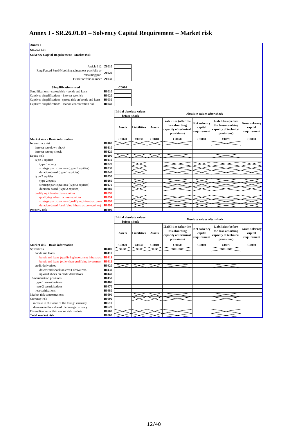# **Annex I - SR.26.01.01 – Solvency Capital Requirement – Market risk**

| Annex I                                                      |              |                         |             |              |                        |                             |                            |                       |
|--------------------------------------------------------------|--------------|-------------------------|-------------|--------------|------------------------|-----------------------------|----------------------------|-----------------------|
| SR.26.01.01                                                  |              |                         |             |              |                        |                             |                            |                       |
| <b>Solvency Capital Requirement - Market risk</b>            |              |                         |             |              |                        |                             |                            |                       |
|                                                              |              |                         |             |              |                        |                             |                            |                       |
|                                                              |              |                         |             |              |                        |                             |                            |                       |
| Article 112 Z0010                                            |              |                         |             |              |                        |                             |                            |                       |
| Ring Fenced Fund/Matching adjustment portfolio or            |              |                         |             |              |                        |                             |                            |                       |
| remaining part                                               | Z0020        |                         |             |              |                        |                             |                            |                       |
| Fund/Portfolio number Z0030                                  |              |                         |             |              |                        |                             |                            |                       |
|                                                              |              |                         |             |              |                        |                             |                            |                       |
| <b>Simplifications used</b>                                  |              | <b>C0010</b>            |             |              |                        |                             |                            |                       |
| Simplifications - spread risk - bonds and loans              | <b>R0010</b> |                         |             |              |                        |                             |                            |                       |
| Captives simplifications - interest rate risk                | R0020        |                         |             |              |                        |                             |                            |                       |
| Captives simplifications -spread risk on bonds and loans     | R0030        |                         |             |              |                        |                             |                            |                       |
| Captives simplifications - market concentration risk         | <b>R0040</b> |                         |             |              |                        |                             |                            |                       |
|                                                              |              |                         |             |              |                        |                             |                            |                       |
|                                                              |              | Initial absolute values |             |              |                        |                             |                            |                       |
|                                                              |              | before shock            |             |              |                        | Absolute values after shock |                            |                       |
|                                                              |              |                         |             |              | Liabilities (after the |                             | <b>Liabilities</b> (before |                       |
|                                                              |              |                         |             |              | loss absorbing         | Net solvency                | the loss-absorbing         | <b>Gross solvency</b> |
|                                                              |              | Assets                  | Liabilities | Assets       | capacity of technical  | capital                     | capacity of technical      | capital               |
|                                                              |              |                         |             |              |                        | requirement                 |                            | requirement           |
|                                                              |              |                         |             |              | provisions)            |                             | provisions)                |                       |
| Market risk - Basic information                              |              | C0020                   | C0030       | <b>C0040</b> | C0050                  | C0060                       | C0070                      | <b>C0080</b>          |
| Interest rate risk                                           | <b>R0100</b> |                         |             |              |                        |                             |                            |                       |
| interest rate down shock                                     | R0110        |                         |             |              |                        |                             |                            |                       |
| interest rate up shock                                       | <b>R0120</b> |                         |             |              |                        |                             |                            |                       |
| Equity risk                                                  | <b>R0200</b> |                         |             |              |                        |                             |                            |                       |
| type 1 equities                                              | R0210        |                         |             |              |                        |                             |                            |                       |
| type 1 equity                                                | R0220        |                         |             |              |                        |                             |                            |                       |
| strategic participations (type 1 equities)                   | R0230        |                         |             |              |                        |                             |                            |                       |
| duration-based (type 1 equities)                             | R0240        |                         |             |              |                        |                             |                            |                       |
| type 2 equities                                              | R0250        |                         |             |              |                        |                             |                            |                       |
| type 2 equity                                                | R0260        |                         |             |              |                        |                             |                            |                       |
| strategic participations (type 2 equities)                   | R0270        |                         |             |              |                        |                             |                            |                       |
| duration-based (type 2 equities)                             | <b>R0280</b> |                         |             |              |                        |                             |                            |                       |
| qualifying infrastructure equities                           | <b>R0290</b> |                         |             |              |                        |                             |                            |                       |
| qualifying infrastructures equities                          | R0291        |                         |             |              |                        |                             |                            |                       |
| strategic participations (qualifying infrastructure et R0292 |              |                         |             |              |                        |                             |                            |                       |
| duration-based (qualifying infrastructure equities)          | R0293        |                         |             |              |                        |                             |                            |                       |
| Property risk                                                | <b>R0300</b> |                         |             |              |                        |                             |                            |                       |
|                                                              |              | Initial absolute values |             |              |                        |                             |                            |                       |
|                                                              |              | before shock            |             |              |                        | Absolute values after shock |                            |                       |
|                                                              |              |                         |             |              |                        |                             |                            |                       |
|                                                              |              |                         |             |              | Liabilities (after the | <b>Net solvency</b>         | <b>Liabilities</b> (before | <b>Gross solvency</b> |
|                                                              |              | Assets                  | Liabilities | Assets       | loss absorbing         | capital                     | the loss-absorbing         | capital               |
|                                                              |              |                         |             |              | capacity of technical  | requirement                 | capacity of technical      | requirement           |
|                                                              |              |                         |             |              | provisions)            |                             | provisions)                |                       |
| Market risk - Basic information                              |              | C0020                   | C0030       | C0040        | C0050                  | C0060                       | C0070                      | <b>C0080</b>          |
| Spread risk                                                  | R0400        |                         |             |              |                        |                             |                            |                       |
| bonds and loans                                              | R0410        |                         |             |              |                        |                             |                            |                       |
| bonds and loans (qualifying investment infrastruct) R0411    |              |                         |             |              |                        |                             |                            |                       |
| bonds and loans (other than qualifying investment            | R0412        |                         |             |              |                        |                             |                            |                       |
| credit derivatives                                           | R0420        |                         |             |              |                        |                             |                            |                       |
| downward shock on credit derivatives                         | R0430        |                         |             |              |                        |                             |                            |                       |
| upward shock on credit derivatives                           | R0440        |                         |             |              |                        |                             |                            |                       |
| Securitisation positions                                     | R0450        |                         |             |              |                        |                             |                            |                       |
| type 1 securitisations                                       | R0460        |                         |             |              |                        |                             |                            |                       |
| type 2 securitisations                                       | R0470        |                         |             |              |                        |                             |                            |                       |
| resecuritisations                                            | R0480        |                         |             |              |                        |                             |                            |                       |
| Market risk concentrations                                   | <b>R0500</b> |                         |             |              |                        |                             |                            |                       |
| Currency risk                                                | <b>R0600</b> |                         |             |              |                        |                             |                            |                       |
| increase in the value of the foreign currency                | R0610        |                         |             |              |                        |                             |                            |                       |
| decrease in the value of the foreign currency                | R0620        |                         |             |              |                        |                             |                            |                       |
| Diversification within market risk module                    | <b>R0700</b> |                         |             |              |                        |                             |                            |                       |
| Total market risk                                            | <b>R0800</b> |                         |             |              |                        |                             |                            |                       |
|                                                              |              |                         |             |              |                        |                             |                            |                       |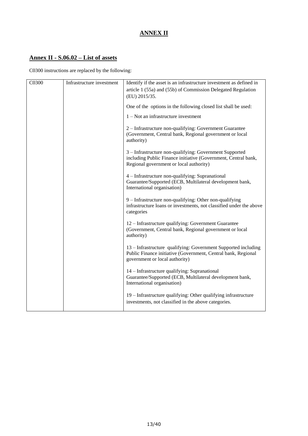# **ANNEX II**

# **Annex II - S.06.02 – List of assets**

C0300 instructions are replaced by the following:

| C0300 | Infrastructure investment | Identify if the asset is an infrastructure investment as defined in<br>article 1 (55a) and (55b) of Commission Delegated Regulation<br>(EU) 2015/35.                 |
|-------|---------------------------|----------------------------------------------------------------------------------------------------------------------------------------------------------------------|
|       |                           | One of the options in the following closed list shall be used:                                                                                                       |
|       |                           | $1 - Not$ an infrastructure investment                                                                                                                               |
|       |                           | 2 - Infrastructure non-qualifying: Government Guarantee<br>(Government, Central bank, Regional government or local<br>authority)                                     |
|       |                           | 3 - Infrastructure non-qualifying: Government Supported<br>including Public Finance initiative (Government, Central bank,<br>Regional government or local authority) |
|       |                           | 4 - Infrastructure non-qualifying: Supranational<br>Guarantee/Supported (ECB, Multilateral development bank,<br>International organisation)                          |
|       |                           | 9 - Infrastructure non-qualifying: Other non-qualifying<br>infrastructure loans or investments, not classified under the above<br>categories                         |
|       |                           | 12 – Infrastructure qualifying: Government Guarantee<br>(Government, Central bank, Regional government or local<br>authority)                                        |
|       |                           | 13 - Infrastructure qualifying: Government Supported including<br>Public Finance initiative (Government, Central bank, Regional<br>government or local authority)    |
|       |                           | 14 – Infrastructure qualifying: Supranational<br>Guarantee/Supported (ECB, Multilateral development bank,<br>International organisation)                             |
|       |                           | 19 – Infrastructure qualifying: Other qualifying infrastructure<br>investments, not classified in the above categories.                                              |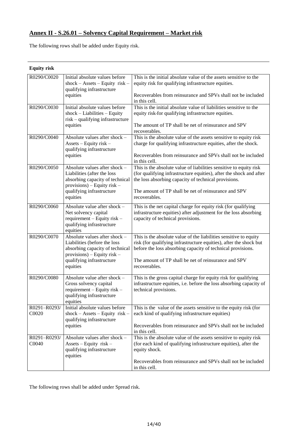### **Annex II - S.26.01 – Solvency Capital Requirement – Market risk**

The following rows shall be added under Equity risk.

| <b>Equity risk</b>    |                                                                                                                                                                            |                                                                                                                                                                                                                                                                                 |
|-----------------------|----------------------------------------------------------------------------------------------------------------------------------------------------------------------------|---------------------------------------------------------------------------------------------------------------------------------------------------------------------------------------------------------------------------------------------------------------------------------|
| R0290/C0020           | Initial absolute values before<br>$shock - Assets - Equity$ risk -<br>qualifying infrastructure<br>equities                                                                | This is the initial absolute value of the assets sensitive to the<br>equity risk for qualifying infrastructure equities.<br>Recoverables from reinsurance and SPVs shall not be included<br>in this cell.                                                                       |
| R0290/C0030           | Initial absolute values before<br>$shock-Liabilities - Equity$<br>risk - qualifying infrastructure<br>equities                                                             | This is the initial absolute value of liabilities sensitive to the<br>equity risk-for qualifying infrastructure equities.<br>The amount of TP shall be net of reinsurance and SPV<br>recoverables.                                                                              |
| R0290/C0040           | Absolute values after shock -<br>Assets - Equity risk -<br>qualifying infrastructure<br>equities                                                                           | This is the absolute value of the assets sensitive to equity risk<br>charge for qualifying infrastructure equities, after the shock.<br>Recoverables from reinsurance and SPVs shall not be included<br>in this cell.                                                           |
| R0290/C0050           | Absolute values after shock -<br>Liabilities (after the loss<br>absorbing capacity of technical<br>provisions) - Equity risk -<br>qualifying infrastructure<br>equities    | This is the absolute value of liabilities sensitive to equity risk<br>(for qualifying infrastructure equities), after the shock and after<br>the loss absorbing capacity of technical provisions.<br>The amount of TP shall be net of reinsurance and SPV<br>recoverables.      |
| R0290/C0060           | Absolute value after shock -<br>Net solvency capital<br>requirement - Equity risk -<br>qualifying infrastructure<br>equities                                               | This is the net capital charge for equity risk (for qualifying<br>infrastructure equities) after adjustment for the loss absorbing<br>capacity of technical provisions.                                                                                                         |
| R0290/C0070           | Absolute values after shock -<br>Liabilities (before the loss<br>absorbing capacity of technical<br>$provisions)$ – Equity risk –<br>qualifying infrastructure<br>equities | This is the absolute value of the liabilities sensitive to equity<br>risk (for qualifying infrastructure equities), after the shock but<br>before the loss absorbing capacity of technical provisions.<br>The amount of TP shall be net of reinsurance and SPV<br>recoverables. |
| R0290/C0080           | Absolute value after shock -<br>Gross solvency capital<br>requirement - Equity risk -<br>qualifying infrastructure<br>equities                                             | This is the gross capital charge for equity risk for qualifying<br>infrastructure equities, i.e. before the loss absorbing capacity of<br>technical provisions.                                                                                                                 |
| R0291-R0293/<br>C0020 | Initial absolute values before<br>$shock - Assets - Equity$ risk -<br>qualifying infrastructure<br>equities                                                                | This is the value of the assets sensitive to the equity risk (for<br>each kind of qualifying infrastructure equities)<br>Recoverables from reinsurance and SPVs shall not be included<br>in this cell.                                                                          |
| R0291-R0293/<br>C0040 | Absolute values after shock -<br>$\text{Assets} - \text{Equity risk} -$<br>qualifying infrastructure<br>equities                                                           | This is the absolute value of the assets sensitive to equity risk<br>(for each kind of qualifying infrastructure equities), after the<br>equity shock.<br>Recoverables from reinsurance and SPVs shall not be included<br>in this cell.                                         |

The following rows shall be added under Spread risk.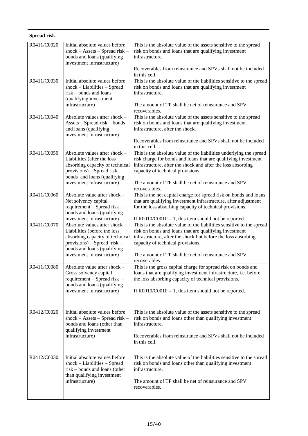| Spread risk |                                                                                                                                                                                                 |                                                                                                                                                                                                                                                                                                                     |
|-------------|-------------------------------------------------------------------------------------------------------------------------------------------------------------------------------------------------|---------------------------------------------------------------------------------------------------------------------------------------------------------------------------------------------------------------------------------------------------------------------------------------------------------------------|
| R0411/C0020 | Initial absolute values before<br>$shock - Assets - Spread risk -$<br>bonds and loans (qualifying<br>investment infrastructure)                                                                 | This is the absolute value of the assets sensitive to the spread<br>risk on bonds and loans that are qualifying investment<br>infrastructure.<br>Recoverables from reinsurance and SPVs shall not be included                                                                                                       |
|             |                                                                                                                                                                                                 | in this cell.                                                                                                                                                                                                                                                                                                       |
| R0411/C0030 | Initial absolute values before<br>shock - Liabilities - Spread<br>$risk$ – bonds and loans<br>(qualifying investment<br>infrastructure)                                                         | This is the absolute value of the liabilities sensitive to the spread<br>risk on bonds and loans that are qualifying investment<br>infrastructure.<br>The amount of TP shall be net of reinsurance and SPV<br>recoverables.                                                                                         |
| R0411/C0040 | Absolute values after shock -<br>Assets – Spread risk – bonds<br>and loans (qualifying<br>investment infrastructure)                                                                            | This is the absolute value of the assets sensitive to the spread<br>risk on bonds and loans that are qualifying investment<br>infrastructure, after the shock.<br>Recoverables from reinsurance and SPVs shall not be included<br>in this cell.                                                                     |
| R0411/C0050 | Absolute values after shock $-$<br>Liabilities (after the loss<br>absorbing capacity of technical<br>$provisions)$ – Spread risk –<br>bonds and loans (qualifying<br>investment infrastructure) | This is the absolute value of the liabilities underlying the spread<br>risk charge for bonds and loans that are qualifying investment<br>infrastructure, after the shock and after the loss absorbing<br>capacity of technical provisions.<br>The amount of TP shall be net of reinsurance and SPV<br>recoverables. |
| R0411/C0060 | Absolute value after shock -<br>Net solvency capital<br>requirement - Spread risk -<br>bonds and loans (qualifying<br>investment infrastructure)                                                | This is the net capital charge for spread risk on bonds and loans<br>that are qualifying investment infrastructure, after adjustment<br>for the loss absorbing capacity of technical provisions.<br>If $R0010/C0010 = 1$ , this item should not be reported.                                                        |
| R0411/C0070 | Absolute values after shock -<br>Liabilities (before the loss<br>absorbing capacity of technical<br>$provisions)$ - Spread risk -<br>bonds and loans (qualifying<br>investment infrastructure)  | This is the absolute value of the liabilities sensitive to the spread<br>risk on bonds and loans that are qualifying investment<br>infrastructure, after the shock but before the loss absorbing<br>capacity of technical provisions.<br>The amount of TP shall be net of reinsurance and SPV<br>recoverables.      |
| R0411/C0080 | Absolute value after shock -<br>Gross solvency capital<br>requirement - Spread risk -<br>bonds and loans (qualifying<br>investment infrastructure)                                              | This is the gross capital charge for spread risk on bonds and<br>loans that are qualifying investment infrastructure, i.e. before<br>the loss absorbing capacity of technical provisions.<br>If $R0010/C0010 = 1$ , this item should not be reported.                                                               |
| R0412/C0020 | Initial absolute values before<br>$shock - Assets - Spread risk -$<br>bonds and loans (other than<br>qualifying investment<br>infrastructure)                                                   | This is the absolute value of the assets sensitive to the spread<br>risk on bonds and loans other than qualifying investment<br>infrastructure.<br>Recoverables from reinsurance and SPVs shall not be included<br>in this cell.                                                                                    |
| R0412/C0030 | Initial absolute values before<br>$shock-Liabilities - Spread$<br>risk – bonds and loans (other<br>than qualifying investment<br>infrastructure)                                                | This is the absolute value of the liabilities sensitive to the spread<br>risk on bonds and loans other than qualifying investment<br>infrastructure.<br>The amount of TP shall be net of reinsurance and SPV<br>recoverables.                                                                                       |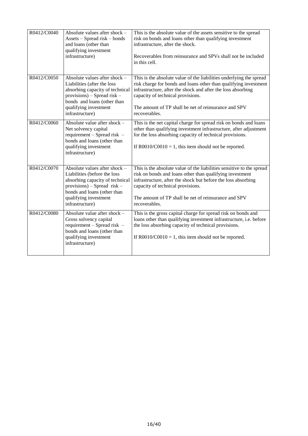| R0412/C0040 | Absolute values after shock -<br>Assets – Spread risk – bonds<br>and loans (other than<br>qualifying investment<br>infrastructure)                                                                           | This is the absolute value of the assets sensitive to the spread<br>risk on bonds and loans other than qualifying investment<br>infrastructure, after the shock.<br>Recoverables from reinsurance and SPVs shall not be included<br>in this cell.                                                                     |
|-------------|--------------------------------------------------------------------------------------------------------------------------------------------------------------------------------------------------------------|-----------------------------------------------------------------------------------------------------------------------------------------------------------------------------------------------------------------------------------------------------------------------------------------------------------------------|
| R0412/C0050 | Absolute values after shock -<br>Liabilities (after the loss<br>absorbing capacity of technical<br>$provisions)$ – Spread risk –<br>bonds and loans (other than<br>qualifying investment<br>infrastructure)  | This is the absolute value of the liabilities underlying the spread<br>risk charge for bonds and loans other than qualifying investment<br>infrastructure, after the shock and after the loss absorbing<br>capacity of technical provisions.<br>The amount of TP shall be net of reinsurance and SPV<br>recoverables. |
| R0412/C0060 | Absolute value after shock -<br>Net solvency capital<br>requirement - Spread risk -<br>bonds and loans (other than<br>qualifying investment<br>infrastructure)                                               | This is the net capital charge for spread risk on bonds and loans<br>other than qualifying investment infrastructure, after adjustment<br>for the loss absorbing capacity of technical provisions.<br>If $R0010/C0010 = 1$ , this item should not be reported.                                                        |
| R0412/C0070 | Absolute values after shock -<br>Liabilities (before the loss<br>absorbing capacity of technical<br>$provisions)$ – Spread risk –<br>bonds and loans (other than<br>qualifying investment<br>infrastructure) | This is the absolute value of the liabilities sensitive to the spread<br>risk on bonds and loans other than qualifying investment<br>infrastructure, after the shock but before the loss absorbing<br>capacity of technical provisions.<br>The amount of TP shall be net of reinsurance and SPV<br>recoverables.      |
| R0412/C0080 | Absolute value after shock -<br>Gross solvency capital<br>requirement - Spread risk -<br>bonds and loans (other than<br>qualifying investment<br>infrastructure)                                             | This is the gross capital charge for spread risk on bonds and<br>loans other than qualifying investment infrastructure, i.e. before<br>the loss absorbing capacity of technical provisions.<br>If $R0010/C0010 = 1$ , this item should not be reported.                                                               |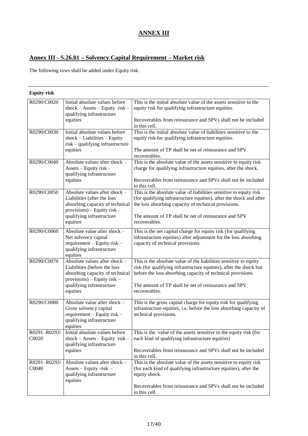# **ANNEX III**

### **Annex III - S.26.01 – Solvency Capital Requirement – Market risk**

The following rows shall be added under Equity risk.

| <b>Equity risk</b>    |                                                                                                                                                                            |                                                                                                                                                                                                                                                                                 |
|-----------------------|----------------------------------------------------------------------------------------------------------------------------------------------------------------------------|---------------------------------------------------------------------------------------------------------------------------------------------------------------------------------------------------------------------------------------------------------------------------------|
| R0290/C0020           | Initial absolute values before<br>$shock - Assets - Equity$ risk -<br>qualifying infrastructure<br>equities                                                                | This is the initial absolute value of the assets sensitive to the<br>equity risk for qualifying infrastructure equities.<br>Recoverables from reinsurance and SPVs shall not be included<br>in this cell.                                                                       |
| R0290/C0030           | Initial absolute values before<br>$shock-Liabilities - Equity$<br>risk - qualifying infrastructure<br>equities                                                             | This is the initial absolute value of liabilities sensitive to the<br>equity risk-for qualifying infrastructure equities.<br>The amount of TP shall be net of reinsurance and SPV<br>recoverables.                                                                              |
| R0290/C0040           | Absolute values after shock -<br>Assets - Equity risk -<br>qualifying infrastructure<br>equities                                                                           | This is the absolute value of the assets sensitive to equity risk<br>charge for qualifying infrastructure equities, after the shock.<br>Recoverables from reinsurance and SPVs shall not be included<br>in this cell.                                                           |
| R0290/C0050           | Absolute values after shock -<br>Liabilities (after the loss<br>absorbing capacity of technical<br>$provisions)$ – Equity risk –<br>qualifying infrastructure<br>equities  | This is the absolute value of liabilities sensitive to equity risk<br>(for qualifying infrastructure equities), after the shock and after<br>the loss absorbing capacity of technical provisions.<br>The amount of TP shall be net of reinsurance and SPV<br>recoverables.      |
| R0290/C0060           | Absolute value after shock -<br>Net solvency capital<br>requirement - Equity risk -<br>qualifying infrastructure<br>equities                                               | This is the net capital charge for equity risk (for qualifying<br>infrastructure equities) after adjustment for the loss absorbing<br>capacity of technical provisions.                                                                                                         |
| R0290/C0070           | Absolute values after shock -<br>Liabilities (before the loss<br>absorbing capacity of technical<br>$provisions)$ – Equity risk –<br>qualifying infrastructure<br>equities | This is the absolute value of the liabilities sensitive to equity<br>risk (for qualifying infrastructure equities), after the shock but<br>before the loss absorbing capacity of technical provisions.<br>The amount of TP shall be net of reinsurance and SPV<br>recoverables. |
| R0290/C0080           | Absolute value after shock -<br>Gross solvency capital<br>$requirement - Equity risk -$<br>qualifying infrastructure<br>equities                                           | This is the gross capital charge for equity risk for qualifying<br>infrastructure equities, i.e. before the loss absorbing capacity of<br>technical provisions.                                                                                                                 |
| R0291-R0293/<br>C0020 | Initial absolute values before<br>$shock - Assets - Equity risk -$<br>qualifying infrastructure<br>equities                                                                | This is the value of the assets sensitive to the equity risk (for<br>each kind of qualifying infrastructure equities)<br>Recoverables from reinsurance and SPVs shall not be included<br>in this cell.                                                                          |
| R0291-R0293/<br>C0040 | Absolute values after shock -<br>$\text{Assets} - \text{Equity risk} -$<br>qualifying infrastructure<br>equities                                                           | This is the absolute value of the assets sensitive to equity risk<br>(for each kind of qualifying infrastructure equities), after the<br>equity shock.<br>Recoverables from reinsurance and SPVs shall not be included<br>in this cell.                                         |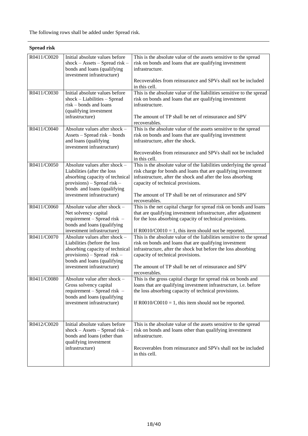| Spread risk |                                                                                                                                                                                                |                                                                                                                                                                                                                                                                                                                     |
|-------------|------------------------------------------------------------------------------------------------------------------------------------------------------------------------------------------------|---------------------------------------------------------------------------------------------------------------------------------------------------------------------------------------------------------------------------------------------------------------------------------------------------------------------|
| R0411/C0020 | Initial absolute values before<br>$shock - Assets - Spread risk -$<br>bonds and loans (qualifying<br>investment infrastructure)                                                                | This is the absolute value of the assets sensitive to the spread<br>risk on bonds and loans that are qualifying investment<br>infrastructure.                                                                                                                                                                       |
|             |                                                                                                                                                                                                | Recoverables from reinsurance and SPVs shall not be included<br>in this cell.                                                                                                                                                                                                                                       |
| R0411/C0030 | Initial absolute values before<br>$shock-Liabilities - Spread$<br>$risk$ – bonds and loans<br>(qualifying investment<br>infrastructure)                                                        | This is the absolute value of the liabilities sensitive to the spread<br>risk on bonds and loans that are qualifying investment<br>infrastructure.<br>The amount of TP shall be net of reinsurance and SPV<br>recoverables.                                                                                         |
| R0411/C0040 | Absolute values after shock -<br>Assets - Spread risk - bonds<br>and loans (qualifying<br>investment infrastructure)                                                                           | This is the absolute value of the assets sensitive to the spread<br>risk on bonds and loans that are qualifying investment<br>infrastructure, after the shock.<br>Recoverables from reinsurance and SPVs shall not be included<br>in this cell.                                                                     |
| R0411/C0050 | Absolute values after shock -<br>Liabilities (after the loss<br>absorbing capacity of technical<br>$provisions)$ – Spread risk –<br>bonds and loans (qualifying<br>investment infrastructure)  | This is the absolute value of the liabilities underlying the spread<br>risk charge for bonds and loans that are qualifying investment<br>infrastructure, after the shock and after the loss absorbing<br>capacity of technical provisions.<br>The amount of TP shall be net of reinsurance and SPV<br>recoverables. |
| R0411/C0060 | Absolute value after shock -<br>Net solvency capital<br>requirement - Spread risk -<br>bonds and loans (qualifying<br>investment infrastructure)                                               | This is the net capital charge for spread risk on bonds and loans<br>that are qualifying investment infrastructure, after adjustment<br>for the loss absorbing capacity of technical provisions.<br>If $R0010/C0010 = 1$ , this item should not be reported.                                                        |
| R0411/C0070 | Absolute values after shock -<br>Liabilities (before the loss<br>absorbing capacity of technical<br>$provisions)$ – Spread risk –<br>bonds and loans (qualifying<br>investment infrastructure) | This is the absolute value of the liabilities sensitive to the spread<br>risk on bonds and loans that are qualifying investment<br>infrastructure, after the shock but before the loss absorbing<br>capacity of technical provisions.<br>The amount of TP shall be net of reinsurance and SPV<br>recoverables.      |
| R0411/C0080 | Absolute value after shock $-$<br>Gross solvency capital<br>requirement - Spread risk -<br>bonds and loans (qualifying<br>investment infrastructure)                                           | This is the gross capital charge for spread risk on bonds and<br>loans that are qualifying investment infrastructure, i.e. before<br>the loss absorbing capacity of technical provisions.<br>If $R0010/C0010 = 1$ , this item should not be reported.                                                               |
| R0412/C0020 | Initial absolute values before<br>$shock - Assets - Spread risk -$<br>bonds and loans (other than<br>qualifying investment<br>infrastructure)                                                  | This is the absolute value of the assets sensitive to the spread<br>risk on bonds and loans other than qualifying investment<br>infrastructure.<br>Recoverables from reinsurance and SPVs shall not be included<br>in this cell.                                                                                    |

### **Spread risk**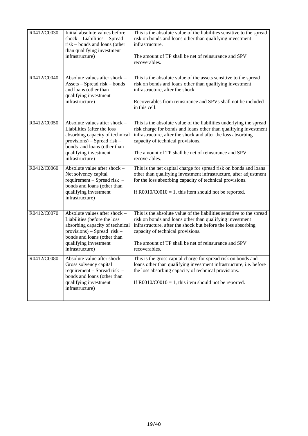| R0412/C0030 | Initial absolute values before<br>$shock-Liabilities - Spread$<br>risk – bonds and loans (other<br>than qualifying investment<br>infrastructure)                                                             | This is the absolute value of the liabilities sensitive to the spread<br>risk on bonds and loans other than qualifying investment<br>infrastructure.<br>The amount of TP shall be net of reinsurance and SPV<br>recoverables.                                                                                         |
|-------------|--------------------------------------------------------------------------------------------------------------------------------------------------------------------------------------------------------------|-----------------------------------------------------------------------------------------------------------------------------------------------------------------------------------------------------------------------------------------------------------------------------------------------------------------------|
| R0412/C0040 | Absolute values after shock -<br>Assets - Spread risk - bonds<br>and loans (other than<br>qualifying investment<br>infrastructure)                                                                           | This is the absolute value of the assets sensitive to the spread<br>risk on bonds and loans other than qualifying investment<br>infrastructure, after the shock.<br>Recoverables from reinsurance and SPVs shall not be included<br>in this cell.                                                                     |
| R0412/C0050 | Absolute values after shock -<br>Liabilities (after the loss<br>absorbing capacity of technical<br>$provisions)$ – Spread risk –<br>bonds and loans (other than<br>qualifying investment<br>infrastructure)  | This is the absolute value of the liabilities underlying the spread<br>risk charge for bonds and loans other than qualifying investment<br>infrastructure, after the shock and after the loss absorbing<br>capacity of technical provisions.<br>The amount of TP shall be net of reinsurance and SPV<br>recoverables. |
| R0412/C0060 | Absolute value after shock -<br>Net solvency capital<br>requirement - Spread risk -<br>bonds and loans (other than<br>qualifying investment<br>infrastructure)                                               | This is the net capital charge for spread risk on bonds and loans<br>other than qualifying investment infrastructure, after adjustment<br>for the loss absorbing capacity of technical provisions.<br>If $R0010/C0010 = 1$ , this item should not be reported.                                                        |
| R0412/C0070 | Absolute values after shock -<br>Liabilities (before the loss<br>absorbing capacity of technical<br>$provisions)$ – Spread risk –<br>bonds and loans (other than<br>qualifying investment<br>infrastructure) | This is the absolute value of the liabilities sensitive to the spread<br>risk on bonds and loans other than qualifying investment<br>infrastructure, after the shock but before the loss absorbing<br>capacity of technical provisions.<br>The amount of TP shall be net of reinsurance and SPV<br>recoverables.      |
| R0412/C0080 | Absolute value after shock -<br>Gross solvency capital<br>requirement - Spread risk -<br>bonds and loans (other than<br>qualifying investment<br>infrastructure)                                             | This is the gross capital charge for spread risk on bonds and<br>loans other than qualifying investment infrastructure, i.e. before<br>the loss absorbing capacity of technical provisions.<br>If $R0010/C0010 = 1$ , this item should not be reported.                                                               |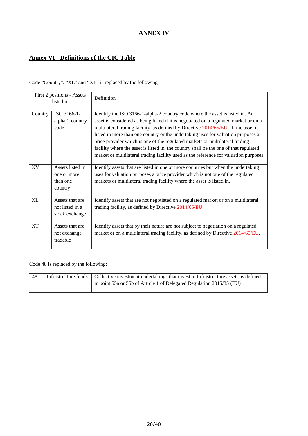# **ANNEX IV**

# **Annex VI - Definitions of the CIC Table**

Code "Country", "XL" and "XT" is replaced by the following:

|           | First 2 positions - Assets<br>listed in                | Definition                                                                                                                                                                                                                                                                                                                                                                                                                                                                                                                                                                                                         |
|-----------|--------------------------------------------------------|--------------------------------------------------------------------------------------------------------------------------------------------------------------------------------------------------------------------------------------------------------------------------------------------------------------------------------------------------------------------------------------------------------------------------------------------------------------------------------------------------------------------------------------------------------------------------------------------------------------------|
| Country   | ISO 3166-1-<br>alpha-2 country<br>code                 | Identify the ISO 3166-1-alpha-2 country code where the asset is listed in. An<br>asset is considered as being listed if it is negotiated on a regulated market or on a<br>multilateral trading facility, as defined by Directive 2014/65/EU. If the asset is<br>listed in more than one country or the undertaking uses for valuation purposes a<br>price provider which is one of the regulated markets or multilateral trading<br>facility where the asset is listed in, the country shall be the one of that regulated<br>market or multilateral trading facility used as the reference for valuation purposes. |
| <b>XV</b> | Assets listed in<br>one or more<br>than one<br>country | Identify assets that are listed in one or more countries but when the undertaking<br>uses for valuation purposes a price provider which is not one of the regulated<br>markets or multilateral trading facility where the asset is listed in.                                                                                                                                                                                                                                                                                                                                                                      |
| <b>XL</b> | Assets that are<br>not listed in a<br>stock exchange   | Identify assets that are not negotiated on a regulated market or on a multilateral<br>trading facility, as defined by Directive 2014/65/EU.                                                                                                                                                                                                                                                                                                                                                                                                                                                                        |
| <b>XT</b> | Assets that are<br>not exchange<br>tradable            | Identify assets that by their nature are not subject to negotiation on a regulated<br>market or on a multilateral trading facility, as defined by Directive 2014/65/EU.                                                                                                                                                                                                                                                                                                                                                                                                                                            |

Code 48 is replaced by the following:

| 48 | Infrastructure funds   Collective investment undertakings that invest in Infrastructure assets as defined |
|----|-----------------------------------------------------------------------------------------------------------|
|    | in point 55a or 55b of Article 1 of Delegated Regulation 2015/35 (EU)                                     |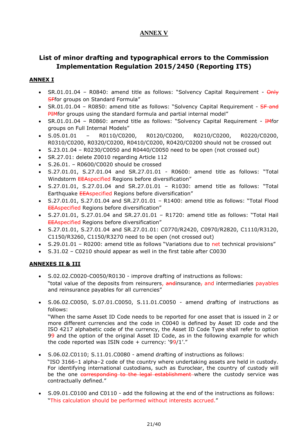## **ANNEX V**

# **List of minor drafting and typographical errors to the Commission Implementation Regulation 2015/2450 (Reporting ITS)**

#### **ANNEX I**

- SR.01.01.04 R0840: amend title as follows: "Solvency Capital Requirement  $\Theta$ nly **SFfor groups on Standard Formula"**
- $SR.01.01.04$  R0850; amend title as follows: "Solvency Capital Requirement  $SF$  and PIMfor groups using the standard formula and partial internal model"
- SR.01.01.04 R0860: amend title as follows: "Solvency Capital Requirement HMfor groups on Full Internal Models"
- $\bullet$  S.05.01.01 R0110/C0200, R0120/C0200, R0210/C0200, R0220/C0200, R0310/C0200, R0320/C0200, R0410/C0200, R0420/C0200 should not be crossed out
- $S.23.01.04 R0230/C0050$  and R0440/C0050 need to be open (not crossed out)
- SR.27.01: delete Z0010 regarding Article 112
- S.26.01. R0600/C0020 should be crossed
- S.27.01.01, S.27.01.04 and SR.27.01.01 R0600: amend title as follows: "Total Windstorm EEAspecified Regions before diversification"
- S.27.01.01, S.27.01.04 and SR.27.01.01 R1030: amend title as follows: "Total Earthquake EEAspecified Regions before diversification"
- S.27.01.01, S.27.01.04 and SR.27.01.01 R1400: amend title as follows: "Total Flood EEAspecified Regions before diversification"
- S.27.01.01, S.27.01.04 and SR.27.01.01 R1720: amend title as follows: "Total Hail EEAspecified Regions before diversification"
- S.27.01.01, S.27.01.04 and SR.27.01.01: C0770/R2420, C0970/R2820, C1110/R3120, C1150/R3260, C1150/R3270 need to be open (not crossed out)
- S.29.01.01 R0200: amend title as follows "Variations due to net technical provisions"
- S.31.02 C0210 should appear as well in the first table after C0030

### **ANNEXES II & III**

- S.02.02.C0020-C0050/R0130 improve drafting of instructions as follows: "total value of the deposits from reinsurers, andinsurance, and intermediaries payables and reinsurance payables for all currencies"
- S.06.02.C0050, S.07.01.C0050, S.11.01.C0050 amend drafting of instructions as follows:

"When the same Asset ID Code needs to be reported for one asset that is issued in 2 or more different currencies and the code in C0040 is defined by Asset ID code and the ISO 4217 alphabetic code of the currency, the Asset ID Code Type shall refer to option 99 and the option of the original Asset ID Code, as in the following example for which the code reported was ISIN code + currency: '99/1'."

- S.06.02.C0110; S.11.01.C0080 amend drafting of instructions as follows: "ISO 3166–1 alpha–2 code of the country where undertaking assets are held in custody. For identifying international custodians, such as Euroclear, the country of custody will be the one corresponding to the legal establishment where the custody service was contractually defined."
- S.09.01.C0100 and C0110 add the following at the end of the instructions as follows: "This calculation should be performed without interests accrued."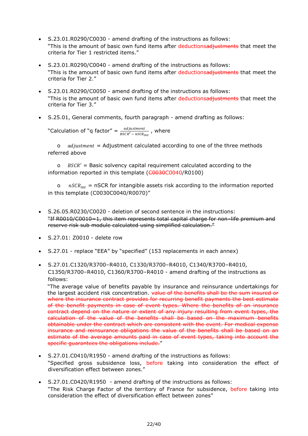- S.23.01.R0290/C0030 amend drafting of the instructions as follows: "This is the amount of basic own fund items after deductionsadiustments that meet the criteria for Tier 1 restricted items."
- S.23.01.R0290/C0040 amend drafting of the instructions as follows: "This is the amount of basic own fund items after deductionsadjustments that meet the criteria for Tier 2."
- S.23.01.R0290/C0050 amend drafting of the instructions as follows: "This is the amount of basic own fund items after deductionsadjustments that meet the criteria for Tier 3."
- S.25.01, General comments, fourth paragraph amend drafting as follows:

"Calculation of "q factor" =  $\frac{adjustment}{BSCR' - nSCR_{int}}$ , where

o  $adiustment = Adjustment$  calculated according to one of the three methods referred above

o  $BSCR' =$  Basic solvency capital requirement calculated according to the information reported in this template (C0030C0040/R0100)

 $nSCR_{int}$  = nSCR for intangible assets risk according to the information reported in this template (C0030C0040/R0070)"

- S.26.05.R0230/C0020 deletion of second sentence in the instructions: "If R0010/C0010=1, this item represents total capital charge for non–life premium and reserve risk sub module calculated using simplified calculation."
- S.27.01: Z0010 delete row
- S.27.01 replace "EEA" by "specified" (153 replacements in each annex)
- S.27.01.C1320/R3700–R4010, C1330/R3700–R4010, C1340/R3700–R4010, C1350/R3700–R4010, C1360/R3700–R4010 - amend drafting of the instructions as follows:

"The average value of benefits payable by insurance and reinsurance undertakings for the largest accident risk concentration. value of the benefits shall be the sum insured or where the insurance contract provides for recurring benefit payments the best estimate of the benefit payments in case of event types. Where the benefits of an insurance contract depend on the nature or extent of any injury resulting from event types, the calculation of the value of the benefits shall be based on the maximum benefits obtainable under the contract which are consistent with the event. For medical expense insurance and reinsurance obligations the value of the benefits shall be based on an estimate of the average amounts paid in case of event types, taking into account the specific quarantees the obligations include."

- S.27.01.C0410/R1950 amend drafting of the instructions as follows: "Specified gross subsidence loss, before taking into consideration the effect of diversification effect between zones.'
- S.27.01.C0420/R1950 amend drafting of the instructions as follows: "The Risk Charge Factor of the territory of France for subsidence, before taking into consideration the effect of diversification effect between zones"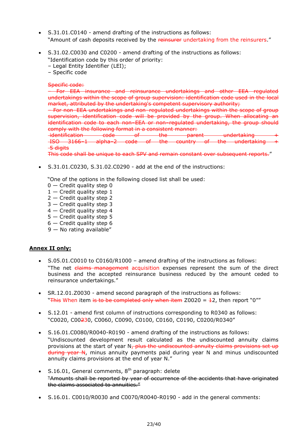- S.31.01.C0140 amend drafting of the instructions as follows: "Amount of cash deposits received by the reinsurer undertaking from the reinsurers."
- S.31.02.C0030 and C0200 amend drafting of the instructions as follows:

"Identification code by this order of priority:

- Legal Entity Identifier (LEI);
- Specific code

#### Specific code:

– For EEA insurance and reinsurance undertakings and other EEA regulated undertakings within the scope of group supervision: identification code used in the local market, attributed by the undertaking's competent supervisory authority;

– For non–EEA undertakings and non–regulated undertakings within the scope of group supervision, identification code will be provided by the group. When allocating an identification code to each non–EEA or non–regulated undertaking, the group should comply with the following format in a consistent manner:

 $i$ dentification code of the parent undertaking ISO 3166–1 alpha–2 code of the country of the undertaking + <del>5 digits</del>

This code shall be unique to each SPV and remain constant over subsequent reports."

S.31.01.C0230, S.31.02.C0290 - add at the end of the instructions:

"One of the options in the following closed list shall be used:

- $0 -$  Credit quality step 0
- $1 -$  Credit quality step 1
- 2 Credit quality step 2
- 3 Credit quality step 3
- 4 Credit quality step 4
- 5 Credit quality step 5
- $6$  Credit quality step 6
- 9 No rating available"

#### **Annex II only:**

- S.05.01.C0010 to C0160/R1000 amend drafting of the instructions as follows: "The net claims management acquisition expenses represent the sum of the direct business and the accepted reinsurance business reduced by the amount ceded to reinsurance undertakings."
- SR.12.01.Z0030 amend second paragraph of the instructions as follows: "This When item is to be completed only when item  $Z0020 = 12$ , then report "0""
- S.12.01 amend first column of instructions corresponding to R0340 as follows: "C0020, C00230, C0060, C0090, C0100, C0160, C0190, C0200/R0340"
- S.16.01.C0080/R0040-R0190 amend drafting of the instructions as follows: "Undiscounted development result calculated as the undiscounted annuity claims provisions at the start of year  $N<sub>\tau</sub>$  plus the undiscounted annuity claims provisions set up during year N, minus annuity payments paid during year N and minus undiscounted annuity claims provisions at the end of year N."
- $\bullet$  S.16.01, General comments,  $8<sup>th</sup>$  paragraph: delete "Amounts shall be reported by year of occurrence of the accidents that have originated the claims associated to annuities."
- S.16.01. C0010/R0030 and C0070/R0040-R0190 add in the general comments: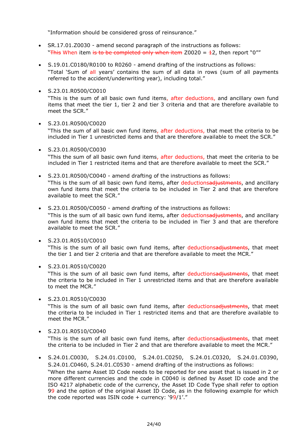"Information should be considered gross of reinsurance."

- SR.17.01.Z0030 amend second paragraph of the instructions as follows: "This When item is to be completed only when item  $Z0020 = 12$ , then report "0""
- S.19.01.C0180/R0100 to R0260 amend drafting of the instructions as follows: "Total 'Sum of all years' contains the sum of all data in rows (sum of all payments referred to the accident/underwriting year), including total."
- S.23.01.R0500/C0010

"This is the sum of all basic own fund items, after deductions, and ancillary own fund items that meet the tier 1, tier 2 and tier 3 criteria and that are therefore available to meet the SCR."

#### S.23.01.R0500/C0020

"This the sum of all basic own fund items, after deductions, that meet the criteria to be included in Tier 1 unrestricted items and that are therefore available to meet the SCR."

- S.23.01.R0500/C0030 "This the sum of all basic own fund items, after deductions, that meet the criteria to be included in Tier 1 restricted items and that are therefore available to meet the SCR."
- S.23.01.R0500/C0040 amend drafting of the instructions as follows: "This is the sum of all basic own fund items, after deductionsadjustments, and ancillary own fund items that meet the criteria to be included in Tier 2 and that are therefore available to meet the SCR."
- S.23.01.R0500/C0050 amend drafting of the instructions as follows:

"This is the sum of all basic own fund items, after deductionsadiustments, and ancillary own fund items that meet the criteria to be included in Tier 3 and that are therefore available to meet the SCR."

S.23.01.R0510/C0010

"This is the sum of all basic own fund items, after deductionsadiustments, that meet the tier 1 and tier 2 criteria and that are therefore available to meet the MCR."

S.23.01.R0510/C0020

"This is the sum of all basic own fund items, after deductionsadiustments, that meet the criteria to be included in Tier 1 unrestricted items and that are therefore available to meet the MCR."

S.23.01.R0510/C0030

"This is the sum of all basic own fund items, after deductionsadiustments, that meet the criteria to be included in Tier 1 restricted items and that are therefore available to meet the MCR."

S.23.01.R0510/C0040

"This is the sum of all basic own fund items, after deductionsadiustments, that meet the criteria to be included in Tier 2 and that are therefore available to meet the MCR."

 S.24.01.C0030, S.24.01.C0100, S.24.01.C0250, S.24.01.C0320, S.24.01.C0390, S.24.01.C0460, S.24.01.C0530 - amend drafting of the instructions as follows: "When the same Asset ID Code needs to be reported for one asset that is issued in 2 or more different currencies and the code in C0040 is defined by Asset ID code and the ISO 4217 alphabetic code of the currency, the Asset ID Code Type shall refer to option 99 and the option of the original Asset ID Code, as in the following example for which the code reported was ISIN code + currency: '99/1'."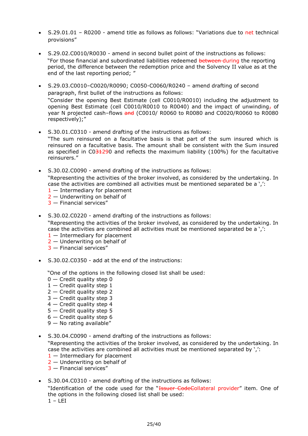- S.29.01.01 R0200 amend title as follows as follows: "Variations due to net technical provisions"
- S.29.02.C0010/R0030 amend in second bullet point of the instructions as follows: "For those financial and subordinated liabilities redeemed between-during the reporting period, the difference between the redemption price and the Solvency II value as at the end of the last reporting period; "
- S.29.03.C0010–C0020/R0090; C0050-C0060/R0240 amend drafting of second paragraph, first bullet of the instructions as follows: "Consider the opening Best Estimate (cell C0010/R0010) including the adjustment to opening Best Estimate (cell C0010/R0010 to R0040) and the impact of unwinding, of year N projected cash–flows and (C0010/ R0060 to R0080 and C0020/R0060 to R0080 respectively);"
- S.30.01.C0310 amend drafting of the instructions as follows: "The sum reinsured on a facultative basis is that part of the sum insured which is reinsured on a facultative basis. The amount shall be consistent with the Sum insured as specified in  $CO<sub>312</sub>90$  and reflects the maximum liability (100%) for the facultative reinsurers."
- S.30.02.C0090 amend drafting of the instructions as follows: "Representing the activities of the broker involved, as considered by the undertaking. In case the activities are combined all activities must be mentioned separated be a ',': 1 — Intermediary for placement
	- 2 Underwriting on behalf of
	- 3 Financial services"
- S.30.02.C0220 amend drafting of the instructions as follows: "Representing the activities of the broker involved, as considered by the undertaking. In case the activities are combined all activities must be mentioned separated be a ',':
	- $1 -$  Intermediary for placement
	- 2 Underwriting on behalf of
	- 3 Financial services"
- S.30.02.C0350 add at the end of the instructions:

"One of the options in the following closed list shall be used:

- $0 -$  Credit quality step 0
- $1 -$  Credit quality step  $1$
- $2$  Credit quality step 2
- 3 Credit quality step 3
- 4 Credit quality step 4
- 5 Credit quality step 5
- $6$  Credit quality step 6
- $9 -$  No rating available"
- S.30.04.C0090 amend drafting of the instructions as follows:

"Representing the activities of the broker involved, as considered by the undertaking. In case the activities are combined all activities must be mentioned separated by ',':

- $1 -$  Intermediary for placement
- 2 Underwriting on behalf of
- 3 Financial services"
- S.30.04.C0310 amend drafting of the instructions as follows:

"Identification of the code used for the "Issuer CodeCollateral provider" item. One of the options in the following closed list shall be used:  $1 - LET$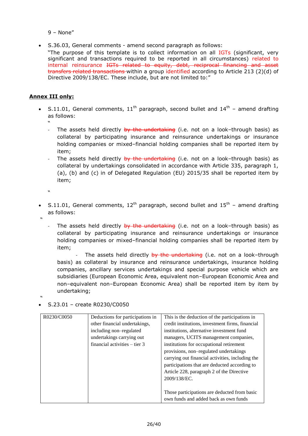9 – None"

S.36.03, General comments - amend second paragraph as follows:

"The purpose of this template is to collect information on all IGTs (significant, very significant and transactions required to be reported in all circumstances) related to internal reinsurance IGTs related to equity, debt, reciprocal financing and asset transfers related transactions within a group identified according to Article 213 (2)(d) of Directive 2009/138/EC. These include, but are not limited to:"

#### **Annex III only:**

S.11.01, General comments,  $11<sup>th</sup>$  paragraph, second bullet and  $14<sup>th</sup>$  – amend drafting as follows:

"

- The assets held directly by the undertaking (i.e. not on a look–through basis) as collateral by participating insurance and reinsurance undertakings or insurance holding companies or mixed–financial holding companies shall be reported item by item;
- The assets held directly by the undertaking (i.e. not on a look-through basis) as collateral by undertakings consolidated in accordance with Article 335, paragraph 1, (a), (b) and (c) in of Delegated Regulation (EU) 2015/35 shall be reported item by item;
- $\mathbf{v}$
- S.11.01, General comments,  $12^{th}$  paragraph, second bullet and  $15^{th}$  amend drafting as follows:
- "
- The assets held directly by the undertaking (i.e. not on a look-through basis) as collateral by participating insurance and reinsurance undertakings or insurance holding companies or mixed–financial holding companies shall be reported item by item;

The assets held directly by the undertaking (i.e. not on a look-through basis) as collateral by insurance and reinsurance undertakings, insurance holding companies, ancillary services undertakings and special purpose vehicle which are subsidiaries (European Economic Area, equivalent non–European Economic Area and non–equivalent non–European Economic Area) shall be reported item by item by undertaking;

"

#### $\bullet$  S.23.01 – create R0230/C0050

| R0230/C0050 | Deductions for participations in | This is the deduction of the participations in   |
|-------------|----------------------------------|--------------------------------------------------|
|             | other financial undertakings,    | credit institutions, investment firms, financial |
|             | including non-regulated          | institutions, alternative investment fund        |
|             | undertakings carrying out        | managers, UCITS management companies,            |
|             | financial activities $-$ tier 3  | institutions for occupational retirement         |
|             |                                  | provisions, non-regulated undertakings           |
|             |                                  | carrying out financial activities, including the |
|             |                                  | participations that are deducted according to    |
|             |                                  | Article 228, paragraph 2 of the Directive        |
|             |                                  | 2009/138/EC.                                     |
|             |                                  |                                                  |
|             |                                  | Those participations are deducted from basic     |
|             |                                  | own funds and added back as own funds            |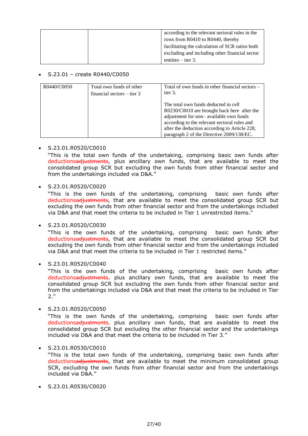|  | according to the relevant sectoral rules in the |
|--|-------------------------------------------------|
|  | rows from R0410 to R0440, thereby               |
|  | facilitating the calculation of SCR ratios both |
|  | excluding and including other financial sector  |
|  | entities $-$ tier 3.                            |

#### $\bullet$  S.23.01 – create R0440/C0050

| R0440/C0050 | Total own funds of other<br>financial sectors $-$ tier 3 | Total of own funds in other financial sectors –<br>tier 3.                                                                                                                                                                                                                  |
|-------------|----------------------------------------------------------|-----------------------------------------------------------------------------------------------------------------------------------------------------------------------------------------------------------------------------------------------------------------------------|
|             |                                                          | The total own funds deducted in cell<br>R0230/C0010 are brought back here after the<br>adjustment for non-available own funds<br>according to the relevant sectoral rules and<br>after the deduction according to Article 228,<br>paragraph 2 of the Directive 2009/138/EC. |

#### S.23.01.R0520/C0010

"This is the total own funds of the undertaking, comprising basic own funds after deductionsadiustments, plus ancillary own funds, that are available to meet the consolidated group SCR but excluding the own funds from other financial sector and from the undertakings included via D&A."

#### S.23.01.R0520/C0020

"This is the own funds of the undertaking, comprising basic own funds after deductionsadjustments, that are available to meet the consolidated group SCR but excluding the own funds from other financial sector and from the undertakings included via D&A and that meet the criteria to be included in Tier 1 unrestricted items."

#### $\cdot$  S.23.01.R0520/C0030

"This is the own funds of the undertaking, comprising basic own funds after deductionsadjustments, that are available to meet the consolidated group SCR but excluding the own funds from other financial sector and from the undertakings included via D&A and that meet the criteria to be included in Tier 1 restricted items."

#### $\bullet$  S.23.01.R0520/C0040

"This is the own funds of the undertaking, comprising basic own funds after deductionsadjustments, plus ancillary own funds, that are available to meet the consolidated group SCR but excluding the own funds from other financial sector and from the undertakings included via D&A and that meet the criteria to be included in Tier 2."

#### S.23.01.R0520/C0050

"This is the own funds of the undertaking, comprising basic own funds after deductionsadjustments, plus ancillary own funds, that are available to meet the consolidated group SCR but excluding the other financial sector and the undertakings included via D&A and that meet the criteria to be included in Tier 3."

#### S.23.01.R0530/C0010

"This is the total own funds of the undertaking, comprising basic own funds after deductionsadjustments, that are available to meet the minimum consolidated group SCR, excluding the own funds from other financial sector and from the undertakings included via D&A."

S.23.01.R0530/C0020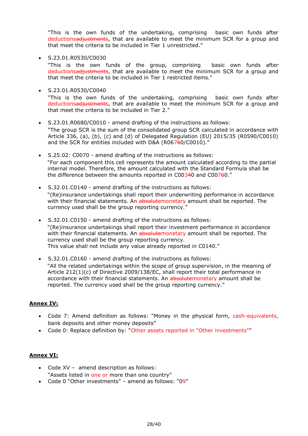"This is the own funds of the undertaking, comprising basic own funds after deductionsadiustments, that are available to meet the minimum SCR for a group and that meet the criteria to be included in Tier 1 unrestricted."

S.23.01.R0530/C0030

"This is the own funds of the group, comprising basic own funds after deductionsadiustments, that are available to meet the minimum SCR for a group and that meet the criteria to be included in Tier 1 restricted items."

 $\cdot$  S.23.01.R0530/C0040

"This is the own funds of the undertaking, comprising basic own funds after deductionsadjustments, that are available to meet the minimum SCR for a group and that meet the criteria to be included in Tier 2."

- S.23.01.R0680/C0010 amend drafting of the instructions as follows: "The group SCR is the sum of the consolidated group SCR calculated in accordance with Article 336, (a), (b), (c) and (d) of Delegated Regulation (EU) 2015/35 (R0590/C0010) and the SCR for entities included with D&A (R06760/C0010).
- S.25.02: C0070 amend drafting of the instructions as follows: "For each component this cell represents the amount calculated according to the partial internal model. Therefore, the amount calculated with the Standard Formula shall be the difference between the amounts reported in C00340 and C00760."
- S.32.01.C0140 amend drafting of the instructions as follows: "(Re)insurance undertakings shall report their underwriting performance in accordance with their financial statements. An absolutemonetary amount shall be reported. The currency used shall be the group reporting currency."
- S.32.01.C0150 amend drafting of the instructions as follows: "(Re)insurance undertakings shall report their investment performance in accordance with their financial statements. An absolutemonetary amount shall be reported. The currency used shall be the group reporting currency. This value shall not include any value already reported in C0140."
- S.32.01.C0160 amend drafting of the instructions as follows: "All the related undertakings within the scope of group supervision, in the meaning of Article 212(1)(c) of Directive 2009/138/EC, shall report their total performance in accordance with their financial statements. An absolutemonetary amount shall be reported. The currency used shall be the group reporting currency."

#### **Annex IV:**

- Code 7: Amend definition as follows: "Money in the physical form, cash-equivalents, bank deposits and other money deposits"
- Code 0: Replace definition by: "Other assets reported in "Other investments""

#### **Annex VI:**

- Code XV amend description as follows: "Assets listed in one or more than one country"
- Code 0 "Other investments" amend as follows: "09"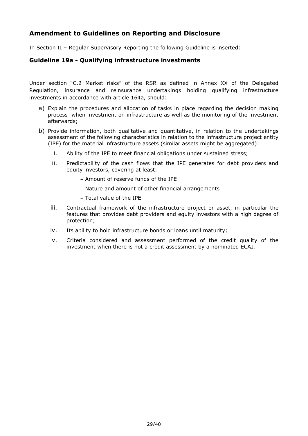## <span id="page-28-0"></span>**Amendment to Guidelines on Reporting and Disclosure**

In Section II – Regular Supervisory Reporting the following Guideline is inserted:

#### **Guideline 19a - Qualifying infrastructure investments**

Under section "C.2 Market risks" of the RSR as defined in Annex XX of the Delegated Regulation, insurance and reinsurance undertakings holding qualifying infrastructure investments in accordance with article 164a, should:

- a) Explain the procedures and allocation of tasks in place regarding the decision making process when investment on infrastructure as well as the monitoring of the investment afterwards;
- b) Provide information, both qualitative and quantitative, in relation to the undertakings assessment of the following characteristics in relation to the infrastructure project entity (IPE) for the material infrastructure assets (similar assets might be aggregated):
	- i. Ability of the IPE to meet financial obligations under sustained stress;
	- ii. Predictability of the cash flows that the IPE generates for debt providers and equity investors, covering at least:
		- Amount of reserve funds of the IPE
		- Nature and amount of other financial arrangements
		- Total value of the IPE
	- iii. Contractual framework of the infrastructure project or asset, in particular the features that provides debt providers and equity investors with a high degree of protection;
	- iv. Its ability to hold infrastructure bonds or loans until maturity;
	- v. Criteria considered and assessment performed of the credit quality of the investment when there is not a credit assessment by a nominated ECAI.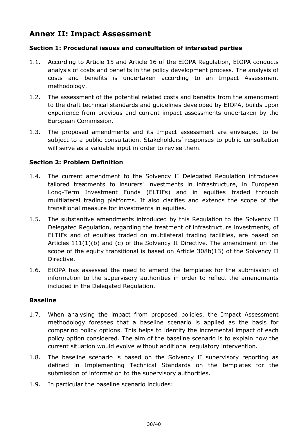# <span id="page-29-0"></span>**Annex II: Impact Assessment**

### **Section 1: Procedural issues and consultation of interested parties**

- 1.1. According to Article 15 and Article 16 of the EIOPA Regulation, EIOPA conducts analysis of costs and benefits in the policy development process. The analysis of costs and benefits is undertaken according to an Impact Assessment methodology.
- 1.2. The assessment of the potential related costs and benefits from the amendment to the draft technical standards and guidelines developed by EIOPA, builds upon experience from previous and current impact assessments undertaken by the European Commission.
- 1.3. The proposed amendments and its Impact assessment are envisaged to be subject to a public consultation. Stakeholders' responses to public consultation will serve as a valuable input in order to revise them.

### **Section 2: Problem Definition**

- 1.4. The current amendment to the Solvency II Delegated Regulation introduces tailored treatments to insurers' investments in infrastructure, in European Long-Term Investment Funds (ELTIFs) and in equities traded through multilateral trading platforms. It also clarifies and extends the scope of the transitional measure for investments in equities.
- 1.5. The substantive amendments introduced by this Regulation to the Solvency II Delegated Regulation, regarding the treatment of infrastructure investments, of ELTIFs and of equities traded on multilateral trading facilities, are based on Articles 111(1)(b) and (c) of the Solvency II Directive. The amendment on the scope of the equity transitional is based on Article 308b(13) of the Solvency II Directive.
- 1.6. EIOPA has assessed the need to amend the templates for the submission of information to the supervisory authorities in order to reflect the amendments included in the Delegated Regulation.

#### **Baseline**

- 1.7. When analysing the impact from proposed policies, the Impact Assessment methodology foresees that a baseline scenario is applied as the basis for comparing policy options. This helps to identify the incremental impact of each policy option considered. The aim of the baseline scenario is to explain how the current situation would evolve without additional regulatory intervention.
- 1.8. The baseline scenario is based on the Solvency II supervisory reporting as defined in Implementing Technical Standards on the templates for the submission of information to the supervisory authorities.
- 1.9. In particular the baseline scenario includes: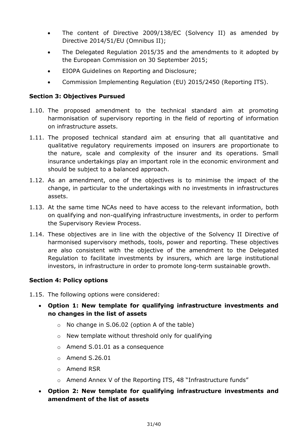- The content of Directive 2009/138/EC (Solvency II) as amended by Directive 2014/51/EU (Omnibus II);
- The Delegated Regulation 2015/35 and the amendments to it adopted by the European Commission on 30 September 2015;
- EIOPA Guidelines on Reporting and Disclosure;
- Commission Implementing Regulation (EU) 2015/2450 (Reporting ITS).

### **Section 3: Objectives Pursued**

- 1.10. The proposed amendment to the technical standard aim at promoting harmonisation of supervisory reporting in the field of reporting of information on infrastructure assets.
- 1.11. The proposed technical standard aim at ensuring that all quantitative and qualitative regulatory requirements imposed on insurers are proportionate to the nature, scale and complexity of the insurer and its operations. Small insurance undertakings play an important role in the economic environment and should be subject to a balanced approach.
- 1.12. As an amendment, one of the objectives is to minimise the impact of the change, in particular to the undertakings with no investments in infrastructures assets.
- 1.13. At the same time NCAs need to have access to the relevant information, both on qualifying and non-qualifying infrastructure investments, in order to perform the Supervisory Review Process.
- 1.14. These objectives are in line with the objective of the Solvency II Directive of harmonised supervisory methods, tools, power and reporting. These objectives are also consistent with the objective of the amendment to the Delegated Regulation to facilitate investments by insurers, which are large institutional investors, in infrastructure in order to promote long-term sustainable growth.

### **Section 4: Policy options**

1.15. The following options were considered:

## **Option 1: New template for qualifying infrastructure investments and no changes in the list of assets**

- o No change in S.06.02 (option A of the table)
- o New template without threshold only for qualifying
- o Amend S.01.01 as a consequence
- o Amend S.26.01
- o Amend RSR
- o Amend Annex V of the Reporting ITS, 48 "Infrastructure funds"
- **Option 2: New template for qualifying infrastructure investments and amendment of the list of assets**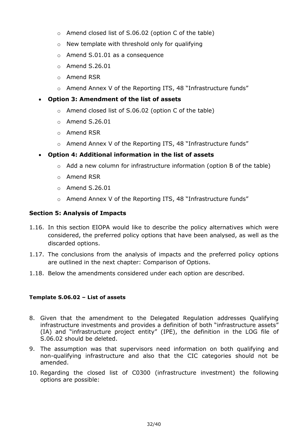- o Amend closed list of S.06.02 (option C of the table)
- o New template with threshold only for qualifying
- $\circ$  Amend S.01.01 as a consequence
- $\circ$  Amend S.26.01
- o Amend RSR
- o Amend Annex V of the Reporting ITS, 48 "Infrastructure funds"

### **Option 3: Amendment of the list of assets**

- o Amend closed list of S.06.02 (option C of the table)
- $\circ$  Amend S.26.01
- o Amend RSR
- o Amend Annex V of the Reporting ITS, 48 "Infrastructure funds"

#### **Option 4: Additional information in the list of assets**

- $\circ$  Add a new column for infrastructure information (option B of the table)
- o Amend RSR
- $\circ$  Amend S.26.01
- o Amend Annex V of the Reporting ITS, 48 "Infrastructure funds"

### **Section 5: Analysis of Impacts**

- 1.16. In this section EIOPA would like to describe the policy alternatives which were considered, the preferred policy options that have been analysed, as well as the discarded options.
- 1.17. The conclusions from the analysis of impacts and the preferred policy options are outlined in the next chapter: Comparison of Options.
- 1.18. Below the amendments considered under each option are described.

#### **Template S.06.02 – List of assets**

- 8. Given that the amendment to the Delegated Regulation addresses Qualifying infrastructure investments and provides a definition of both "infrastructure assets" (IA) and "infrastructure project entity" (IPE), the definition in the LOG file of S.06.02 should be deleted.
- 9. The assumption was that supervisors need information on both qualifying and non-qualifying infrastructure and also that the CIC categories should not be amended.
- 10. Regarding the closed list of C0300 (infrastructure investment) the following options are possible: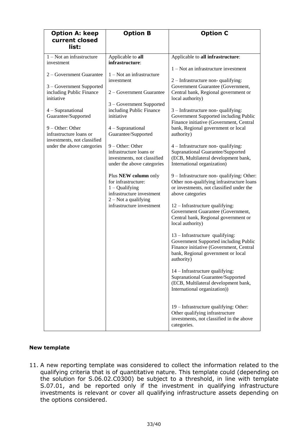| <b>Option A: keep</b>                                                      | <b>Option B</b>                                                                                            | <b>Option C</b>                                                                                                                                                         |
|----------------------------------------------------------------------------|------------------------------------------------------------------------------------------------------------|-------------------------------------------------------------------------------------------------------------------------------------------------------------------------|
| current closed<br>list:                                                    |                                                                                                            |                                                                                                                                                                         |
| $1 - Not$ an infrastructure<br>investment                                  | Applicable to all<br>infrastructure:                                                                       | Applicable to all infrastructure:<br>1 – Not an infrastructure investment                                                                                               |
| 2 – Government Guarantee                                                   | $1 - Not$ an infrastructure<br>investment                                                                  | $2$ – Infrastructure non-qualifying:                                                                                                                                    |
| 3 – Government Supported<br>including Public Finance<br>initiative         | 2 – Government Guarantee                                                                                   | Government Guarantee (Government,<br>Central bank, Regional government or<br>local authority)                                                                           |
| 4 - Supranational<br>Guarantee/Supported                                   | 3 – Government Supported<br>including Public Finance<br>initiative                                         | $3$ – Infrastructure non-qualifying:<br>Government Supported including Public<br>Finance initiative (Government, Central                                                |
| 9 - Other: Other<br>infrastructure loans or<br>investments, not classified | 4 - Supranational<br>Guarantee/Supported                                                                   | bank, Regional government or local<br>authority)                                                                                                                        |
| under the above categories                                                 | $9 - Other: Other$<br>infrastructure loans or<br>investments, not classified<br>under the above categories | 4 – Infrastructure non-qualifying:<br>Supranational Guarantee/Supported<br>(ECB, Multilateral development bank,<br>International organization)                          |
|                                                                            | Plus NEW column only<br>for infrastructure:<br>$1 -$ Qualifying<br>infrastructure investment               | 9 - Infrastructure non-qualifying: Other:<br>Other non-qualifying infrastructure loans<br>or investments, not classified under the<br>above categories                  |
|                                                                            | $2 - Not$ a qualifying<br>infrastructure investment                                                        | 12 – Infrastructure qualifying:<br>Government Guarantee (Government,<br>Central bank, Regional government or<br>local authority)                                        |
|                                                                            |                                                                                                            | 13 – Infrastructure qualifying:<br>Government Supported including Public<br>Finance initiative (Government, Central<br>bank, Regional government or local<br>authority) |
|                                                                            |                                                                                                            | $14$ – Infrastructure qualifying:<br>Supranational Guarantee/Supported<br>(ECB, Multilateral development bank,<br>International organization))                          |
|                                                                            |                                                                                                            | 19 - Infrastructure qualifying: Other:<br>Other qualifying infrastructure<br>investments, not classified in the above<br>categories.                                    |

#### **New template**

11. A new reporting template was considered to collect the information related to the qualifying criteria that is of quantitative nature. This template could (depending on the solution for S.06.02.C0300) be subject to a threshold, in line with template S.07.01, and be reported only if the investment in qualifying infrastructure investments is relevant or cover all qualifying infrastructure assets depending on the options considered.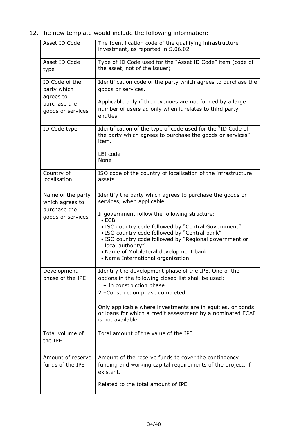12. The new template would include the following information:

| Asset ID Code                              | The Identification code of the qualifying infrastructure<br>investment, as reported in S.06.02                                                                                                                                                                                                                                       |
|--------------------------------------------|--------------------------------------------------------------------------------------------------------------------------------------------------------------------------------------------------------------------------------------------------------------------------------------------------------------------------------------|
| Asset ID Code<br>type                      | Type of ID Code used for the "Asset ID Code" item (code of<br>the asset, not of the issuer)                                                                                                                                                                                                                                          |
| ID Code of the<br>party which<br>agrees to | Identification code of the party which agrees to purchase the<br>goods or services.                                                                                                                                                                                                                                                  |
| purchase the<br>goods or services          | Applicable only if the revenues are not funded by a large<br>number of users ad only when it relates to third party<br>entities.                                                                                                                                                                                                     |
| ID Code type                               | Identification of the type of code used for the "ID Code of<br>the party which agrees to purchase the goods or services"<br>item.                                                                                                                                                                                                    |
|                                            | LEI code<br>None                                                                                                                                                                                                                                                                                                                     |
| Country of<br>localisation                 | ISO code of the country of localisation of the infrastructure<br>assets                                                                                                                                                                                                                                                              |
| Name of the party<br>which agrees to       | Identify the party which agrees to purchase the goods or<br>services, when applicable.                                                                                                                                                                                                                                               |
| purchase the<br>goods or services          | If government follow the following structure:<br>$\bullet$ ECB<br>• ISO country code followed by "Central Government"<br>. ISO country code followed by "Central bank"<br>· ISO country code followed by "Regional government or<br>local authority"<br>• Name of Multilateral development bank<br>• Name International organization |
| Development<br>phase of the IPE            | Identify the development phase of the IPE. One of the<br>options in the following closed list shall be used:<br>$1 - In construction phase$<br>2 -Construction phase completed                                                                                                                                                       |
|                                            | Only applicable where investments are in equities, or bonds<br>or loans for which a credit assessment by a nominated ECAI<br>is not available.                                                                                                                                                                                       |
| Total volume of<br>the IPE                 | Total amount of the value of the IPE                                                                                                                                                                                                                                                                                                 |
| Amount of reserve<br>funds of the IPE      | Amount of the reserve funds to cover the contingency<br>funding and working capital requirements of the project, if<br>existent.                                                                                                                                                                                                     |
|                                            | Related to the total amount of IPE                                                                                                                                                                                                                                                                                                   |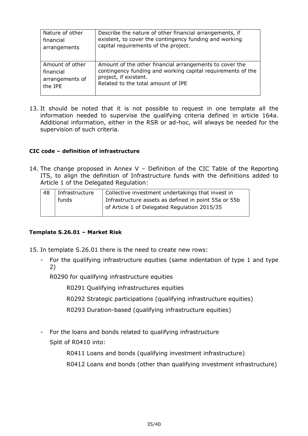| Nature of other | Describe the nature of other financial arrangements, if     |
|-----------------|-------------------------------------------------------------|
| financial       | existent, to cover the contingency funding and working      |
| arrangements    | capital requirements of the project.                        |
| Amount of other | Amount of the other financial arrangements to cover the     |
| financial       | contingency funding and working capital requirements of the |
| arrangements of | project, if existent.                                       |
| the IPE         | Related to the total amount of IPE                          |

13. It should be noted that it is not possible to request in one template all the information needed to supervise the qualifying criteria defined in article 164a. Additional information, either in the RSR or ad-hoc, will always be needed for the supervision of such criteria.

#### **CIC code – definition of infrastructure**

14. The change proposed in Annex V – Definition of the CIC Table of the Reporting ITS, to align the definition of Infrastructure funds with the definitions added to Article 1 of the Delegated Regulation:

| 48 | Infrastructure | Collective investment undertakings that invest in    |
|----|----------------|------------------------------------------------------|
|    | funds          | Infrastructure assets as defined in point 55a or 55b |
|    |                | of Article 1 of Delegated Regulation 2015/35         |
|    |                |                                                      |

#### **Template S.26.01 – Market Risk**

- 15. In template S.26.01 there is the need to create new rows:
	- For the qualifying infrastructure equities (same indentation of type 1 and type 2)

R0290 for qualifying infrastructure equities

R0291 Qualifying infrastructures equities

R0292 Strategic participations (qualifying infrastructure equities)

R0293 Duration-based (qualifying infrastructure equities)

- For the loans and bonds related to qualifying infrastructure Split of R0410 into:

R0411 Loans and bonds (qualifying investment infrastructure)

R0412 Loans and bonds (other than qualifying investment infrastructure)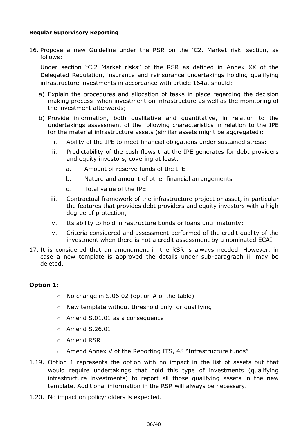#### **Regular Supervisory Reporting**

16. Propose a new Guideline under the RSR on the 'C2. Market risk' section, as follows:

Under section "C.2 Market risks" of the RSR as defined in Annex XX of the Delegated Regulation, insurance and reinsurance undertakings holding qualifying infrastructure investments in accordance with article 164a, should:

- a) Explain the procedures and allocation of tasks in place regarding the decision making process when investment on infrastructure as well as the monitoring of the investment afterwards;
- b) Provide information, both qualitative and quantitative, in relation to the undertakings assessment of the following characteristics in relation to the IPE for the material infrastructure assets (similar assets might be aggregated):
	- i. Ability of the IPE to meet financial obligations under sustained stress;
	- ii. Predictability of the cash flows that the IPE generates for debt providers and equity investors, covering at least:
		- a. Amount of reserve funds of the IPE
		- b. Nature and amount of other financial arrangements
		- c. Total value of the IPE
	- iii. Contractual framework of the infrastructure project or asset, in particular the features that provides debt providers and equity investors with a high degree of protection;
	- iv. Its ability to hold infrastructure bonds or loans until maturity;
	- v. Criteria considered and assessment performed of the credit quality of the investment when there is not a credit assessment by a nominated ECAI.
- 17. It is considered that an amendment in the RSR is always needed. However, in case a new template is approved the details under sub-paragraph ii. may be deleted.

#### **Option 1:**

- o No change in S.06.02 (option A of the table)
- o New template without threshold only for qualifying
- o Amend S.01.01 as a consequence
- o Amend S.26.01
- o Amend RSR
- $\circ$  Amend Annex V of the Reporting ITS, 48 "Infrastructure funds"
- 1.19. Option 1 represents the option with no impact in the list of assets but that would require undertakings that hold this type of investments (qualifying infrastructure investments) to report all those qualifying assets in the new template. Additional information in the RSR will always be necessary.
- 1.20. No impact on policyholders is expected.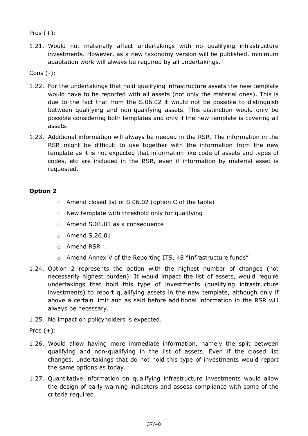Pros  $(+)$ :

1.21. Would not materially affect undertakings with no qualifying infrastructure investments. However, as a new taxonomy version will be published, minimum adaptation work will always be required by all undertakings.

Cons (-):

- 1.22. For the undertakings that hold qualifying infrastructure assets the new template would have to be reported with all assets (not only the material ones). This is due to the fact that from the S.06.02 it would not be possible to distinguish between qualifying and non-qualifying assets. This distinction would only be possible considering both templates and only if the new template is covering all assets.
- 1.23. Additional information will always be needed in the RSR. The information in the RSR might be difficult to use together with the information from the new template as it is not expected that information like code of assets and types of codes, etc are included in the RSR, even if information by material asset is requested.

## **Option 2**

- o Amend closed list of S.06.02 (option C of the table)
- $\circ$  New template with threshold only for qualifying
- o Amend S.01.01 as a consequence
- o Amend S.26.01
- o Amend RSR
- o Amend Annex V of the Reporting ITS, 48 "Infrastructure funds"
- 1.24. Option 2 represents the option with the highest number of changes (not necessarily highest burden). It would impact the list of assets, would require undertakings that hold this type of investments (qualifying infrastructure investments) to report qualifying assets in the new template, although only if above a certain limit and as said before additional information in the RSR will always be necessary.
- 1.25. No impact on policyholders is expected.

Pros  $(+)$ :

- 1.26. Would allow having more immediate information, namely the split between qualifying and non-qualifying in the list of assets. Even if the closed list changes, undertakings that do not hold this type of investments would report the same options as today.
- 1.27. Quantitative information on qualifying infrastructure investments would allow the design of early warning indicators and assess compliance with some of the criteria required.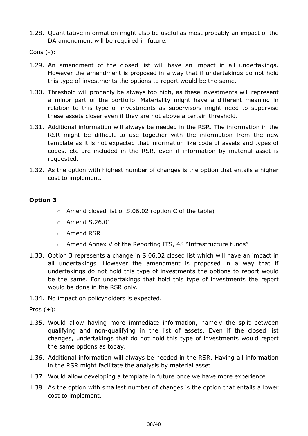1.28. Quantitative information might also be useful as most probably an impact of the DA amendment will be required in future.

Cons (-):

- 1.29. An amendment of the closed list will have an impact in all undertakings. However the amendment is proposed in a way that if undertakings do not hold this type of investments the options to report would be the same.
- 1.30. Threshold will probably be always too high, as these investments will represent a minor part of the portfolio. Materiality might have a different meaning in relation to this type of investments as supervisors might need to supervise these assets closer even if they are not above a certain threshold.
- 1.31. Additional information will always be needed in the RSR. The information in the RSR might be difficult to use together with the information from the new template as it is not expected that information like code of assets and types of codes, etc are included in the RSR, even if information by material asset is requested.
- 1.32. As the option with highest number of changes is the option that entails a higher cost to implement.

### **Option 3**

- o Amend closed list of S.06.02 (option C of the table)
- o Amend S.26.01
- o Amend RSR
- o Amend Annex V of the Reporting ITS, 48 "Infrastructure funds"
- 1.33. Option 3 represents a change in S.06.02 closed list which will have an impact in all undertakings. However the amendment is proposed in a way that if undertakings do not hold this type of investments the options to report would be the same. For undertakings that hold this type of investments the report would be done in the RSR only.
- 1.34. No impact on policyholders is expected.

Pros  $(+)$ :

- 1.35. Would allow having more immediate information, namely the split between qualifying and non-qualifying in the list of assets. Even if the closed list changes, undertakings that do not hold this type of investments would report the same options as today.
- 1.36. Additional information will always be needed in the RSR. Having all information in the RSR might facilitate the analysis by material asset.
- 1.37. Would allow developing a template in future once we have more experience.
- 1.38. As the option with smallest number of changes is the option that entails a lower cost to implement.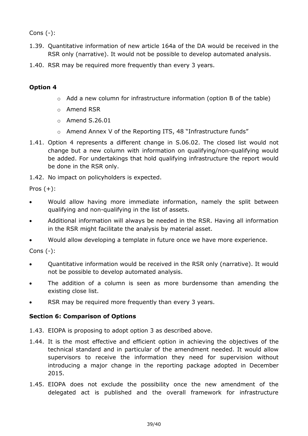Cons (-):

- 1.39. Quantitative information of new article 164a of the DA would be received in the RSR only (narrative). It would not be possible to develop automated analysis.
- 1.40. RSR may be required more frequently than every 3 years.

## **Option 4**

- o Add a new column for infrastructure information (option B of the table)
- o Amend RSR
- o Amend S.26.01
- o Amend Annex V of the Reporting ITS, 48 "Infrastructure funds"
- 1.41. Option 4 represents a different change in S.06.02. The closed list would not change but a new column with information on qualifying/non-qualifying would be added. For undertakings that hold qualifying infrastructure the report would be done in the RSR only.
- 1.42. No impact on policyholders is expected.

Pros  $(+)$ :

- Would allow having more immediate information, namely the split between qualifying and non-qualifying in the list of assets.
- Additional information will always be needed in the RSR. Having all information in the RSR might facilitate the analysis by material asset.
- Would allow developing a template in future once we have more experience.

Cons (-):

- Quantitative information would be received in the RSR only (narrative). It would not be possible to develop automated analysis.
- The addition of a column is seen as more burdensome than amending the existing close list.
- RSR may be required more frequently than every 3 years.

## **Section 6: Comparison of Options**

- 1.43. EIOPA is proposing to adopt option 3 as described above.
- 1.44. It is the most effective and efficient option in achieving the objectives of the technical standard and in particular of the amendment needed. It would allow supervisors to receive the information they need for supervision without introducing a major change in the reporting package adopted in December 2015.
- 1.45. EIOPA does not exclude the possibility once the new amendment of the delegated act is published and the overall framework for infrastructure